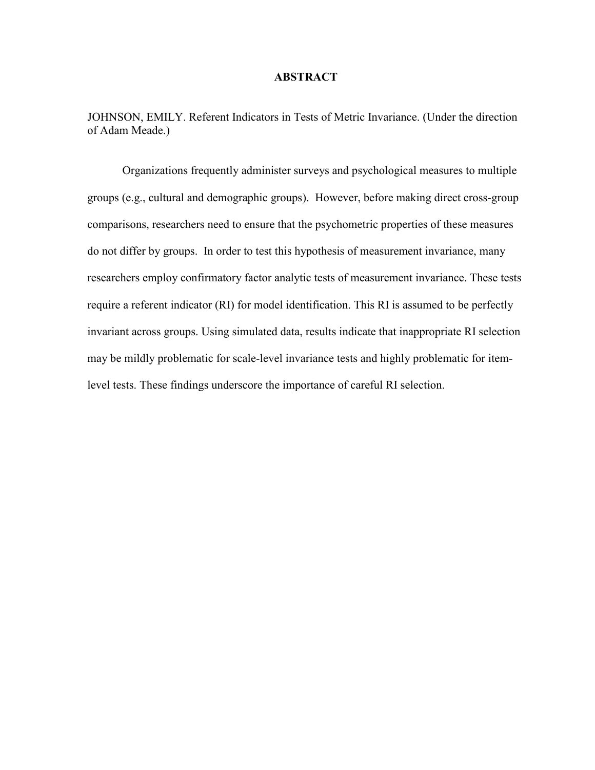## **ABSTRACT**

JOHNSON, EMILY. Referent Indicators in Tests of Metric Invariance. (Under the direction of Adam Meade.)

Organizations frequently administer surveys and psychological measures to multiple groups (e.g., cultural and demographic groups). However, before making direct cross-group comparisons, researchers need to ensure that the psychometric properties of these measures do not differ by groups. In order to test this hypothesis of measurement invariance, many researchers employ confirmatory factor analytic tests of measurement invariance. These tests require a referent indicator (RI) for model identification. This RI is assumed to be perfectly invariant across groups. Using simulated data, results indicate that inappropriate RI selection may be mildly problematic for scale-level invariance tests and highly problematic for itemlevel tests. These findings underscore the importance of careful RI selection.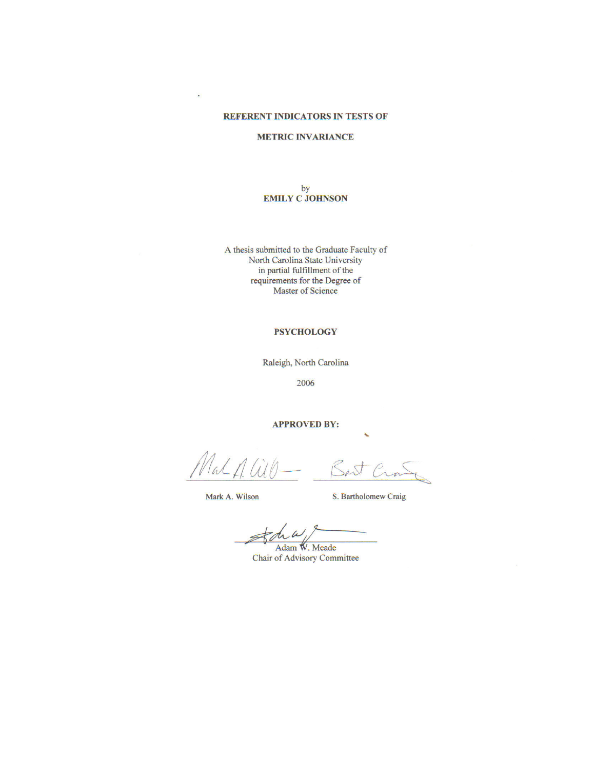#### **REFERENT INDICATORS IN TESTS OF**

i.

#### **METRIC INVARIANCE**

#### by **EMILY C JOHNSON**

A thesis submitted to the Graduate Faculty of North Carolina State University in partial fulfillment of the requirements for the Degree of **Master of Science** 

#### **PSYCHOLOGY**

Raleigh, North Carolina

2006

**APPROVED BY:** 

Mal, Bast Cray

Mark A. Wilson

S. Bartholomew Craig

٩

Adam W. Meade Chair of Advisory Committee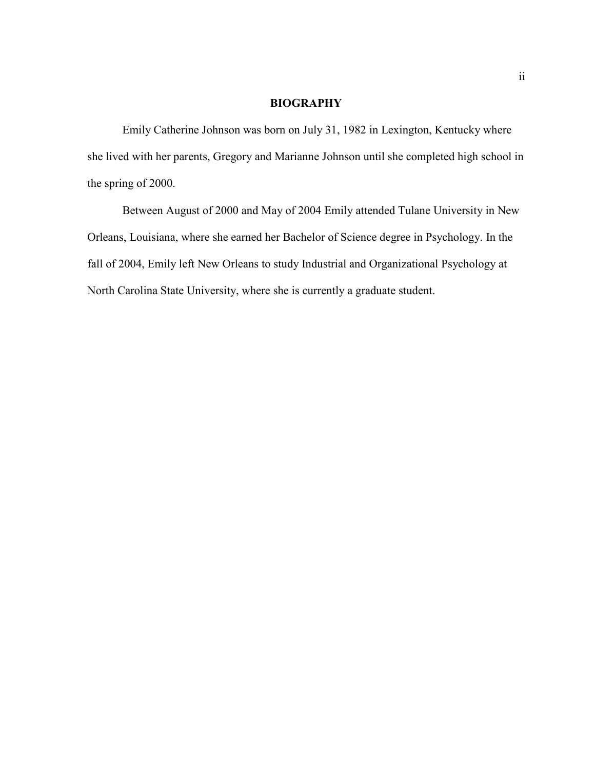# **BIOGRAPHY**

 Emily Catherine Johnson was born on July 31, 1982 in Lexington, Kentucky where she lived with her parents, Gregory and Marianne Johnson until she completed high school in the spring of 2000.

 Between August of 2000 and May of 2004 Emily attended Tulane University in New Orleans, Louisiana, where she earned her Bachelor of Science degree in Psychology. In the fall of 2004, Emily left New Orleans to study Industrial and Organizational Psychology at North Carolina State University, where she is currently a graduate student.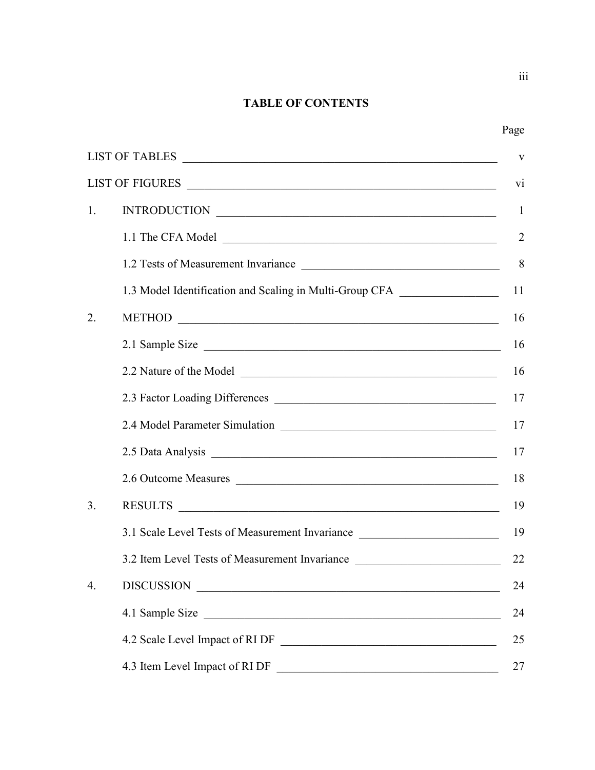# TABLE OF CONTENTS

|                | LIST OF TABLES                                                                                                                                                                                                                                                                                                                                                                                                                                                                                                                | V              |
|----------------|-------------------------------------------------------------------------------------------------------------------------------------------------------------------------------------------------------------------------------------------------------------------------------------------------------------------------------------------------------------------------------------------------------------------------------------------------------------------------------------------------------------------------------|----------------|
|                | LIST OF FIGURES                                                                                                                                                                                                                                                                                                                                                                                                                                                                                                               | V1             |
| 1.             | $\textcolor{red}{\textbf{INTRODUCTION}} \textcolor{red}{\overbrace{\textbf{1000}}\textcolor{red}{\textbf{5000}}\textcolor{red}{\overbrace{\textbf{21000}}}\textcolor{red}{\overbrace{\textbf{21000}}}\textcolor{red}{\overbrace{\textbf{21000}}}\textcolor{red}{\overbrace{\textbf{21000}}}\textcolor{red}{\overbrace{\textbf{21000}}}\textcolor{red}{\overbrace{\textbf{21000}}}\textcolor{red}{\overbrace{\textbf{21000}}}\textcolor{red}{\overbrace{\textbf{21000}}}\textcolor{red}{\overbrace{\textbf{21000}}}\textcolor$ | $\mathbf{1}$   |
|                |                                                                                                                                                                                                                                                                                                                                                                                                                                                                                                                               | $\overline{2}$ |
|                | 1.2 Tests of Measurement Invariance                                                                                                                                                                                                                                                                                                                                                                                                                                                                                           | 8              |
|                | 1.3 Model Identification and Scaling in Multi-Group CFA ________________                                                                                                                                                                                                                                                                                                                                                                                                                                                      | 11             |
| 2.             | METHOD                                                                                                                                                                                                                                                                                                                                                                                                                                                                                                                        | 16             |
|                | 2.1 Sample Size                                                                                                                                                                                                                                                                                                                                                                                                                                                                                                               | 16             |
|                |                                                                                                                                                                                                                                                                                                                                                                                                                                                                                                                               | 16             |
|                |                                                                                                                                                                                                                                                                                                                                                                                                                                                                                                                               | 17             |
|                |                                                                                                                                                                                                                                                                                                                                                                                                                                                                                                                               | 17             |
|                |                                                                                                                                                                                                                                                                                                                                                                                                                                                                                                                               | 17             |
|                | 2.6 Outcome Measures                                                                                                                                                                                                                                                                                                                                                                                                                                                                                                          | 18             |
| 3 <sub>1</sub> | RESULTS                                                                                                                                                                                                                                                                                                                                                                                                                                                                                                                       | -19            |
|                | 3.1 Scale Level Tests of Measurement Invariance                                                                                                                                                                                                                                                                                                                                                                                                                                                                               | 19             |
|                | 3.2 Item Level Tests of Measurement Invariance                                                                                                                                                                                                                                                                                                                                                                                                                                                                                | 22             |
| 4.             | <b>DISCUSSION</b><br><u> 1989 - Johann Stoff, amerikansk politiker (d. 1989)</u>                                                                                                                                                                                                                                                                                                                                                                                                                                              | 24             |
|                | 4.1 Sample Size                                                                                                                                                                                                                                                                                                                                                                                                                                                                                                               | 24             |
|                | 4.2 Scale Level Impact of RI DF                                                                                                                                                                                                                                                                                                                                                                                                                                                                                               | 25             |
|                | 4.3 Item Level Impact of RI DF<br><u> 1989 - Johann Stoff, deutscher Stoffen und der Stoffen und der Stoffen und der Stoffen und der Stoffen und der</u>                                                                                                                                                                                                                                                                                                                                                                      | 27             |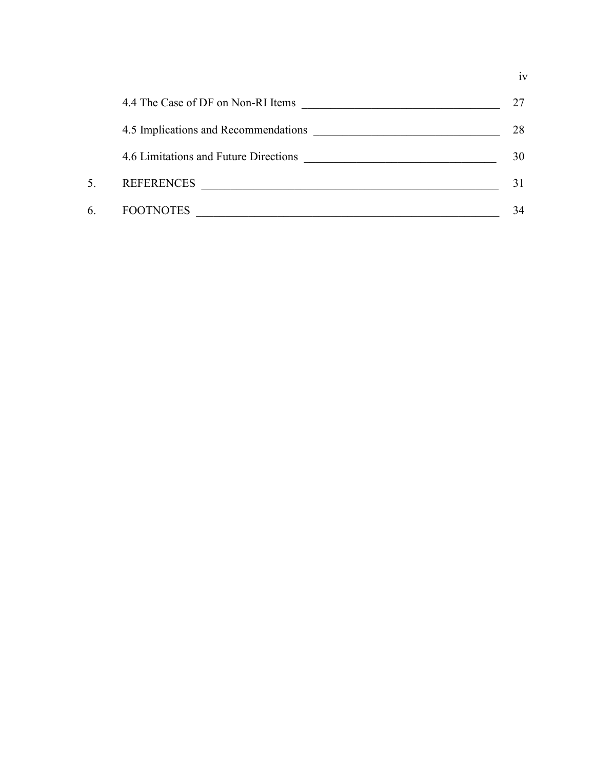|    | 4.4 The Case of DF on Non-RI Items                                                                                   |    |
|----|----------------------------------------------------------------------------------------------------------------------|----|
|    | 4.5 Implications and Recommendations                                                                                 | 28 |
|    | 4.6 Limitations and Future Directions                                                                                | 30 |
| 5. | <b>REFERENCES</b><br>the contract of the contract of the contract of the contract of the contract of the contract of |    |
| 6. | <b>FOOTNOTES</b>                                                                                                     | 34 |

iv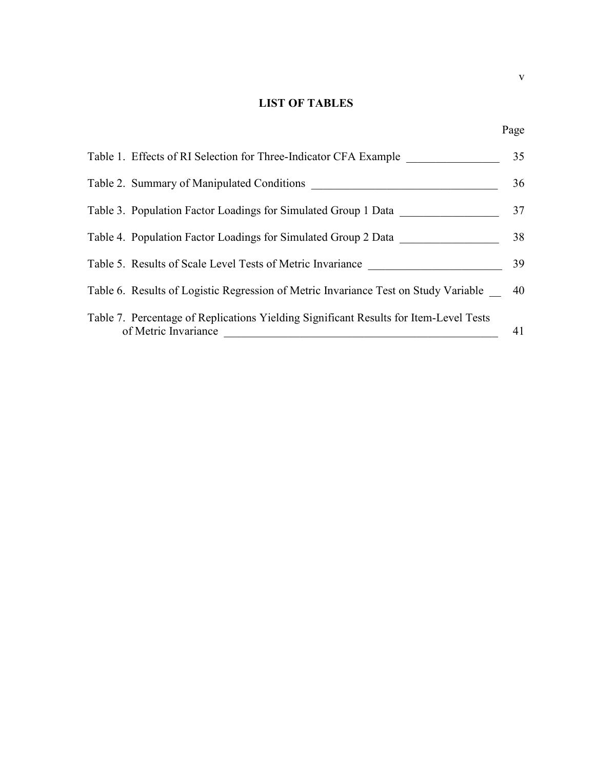# LIST OF TABLES

v

| Table 1. Effects of RI Selection for Three-Indicator CFA Example |                                                                                           | 35 |
|------------------------------------------------------------------|-------------------------------------------------------------------------------------------|----|
| Table 2. Summary of Manipulated Conditions                       |                                                                                           | 36 |
| Table 3. Population Factor Loadings for Simulated Group 1 Data   |                                                                                           | 37 |
| Table 4. Population Factor Loadings for Simulated Group 2 Data   | 38                                                                                        |    |
| Table 5. Results of Scale Level Tests of Metric Invariance       |                                                                                           | 39 |
|                                                                  | Table 6. Results of Logistic Regression of Metric Invariance Test on Study Variable<br>40 |    |
| of Metric Invariance                                             | Table 7. Percentage of Replications Yielding Significant Results for Item-Level Tests     | 41 |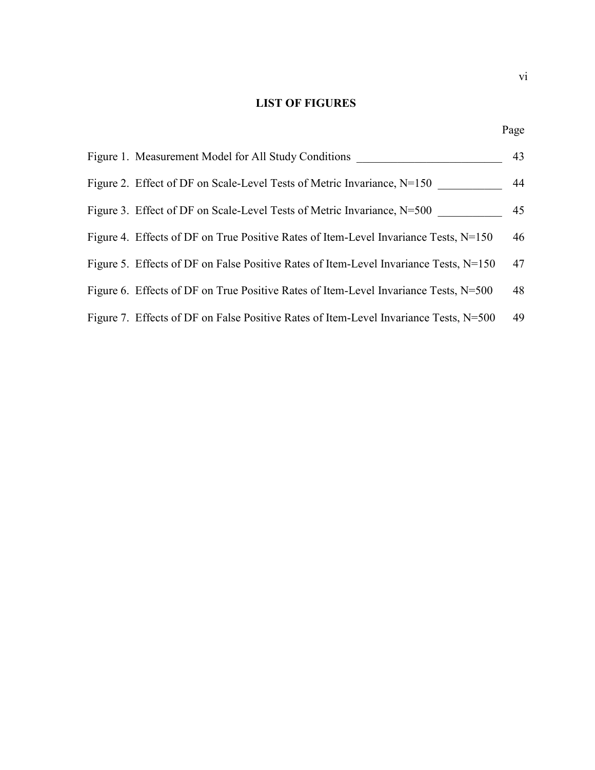# LIST OF FIGURES

| Figure 1. Measurement Model for All Study Conditions                                    | 43 |
|-----------------------------------------------------------------------------------------|----|
| Figure 2. Effect of DF on Scale-Level Tests of Metric Invariance, N=150                 | 44 |
| Figure 3. Effect of DF on Scale-Level Tests of Metric Invariance, N=500                 | 45 |
| Figure 4. Effects of DF on True Positive Rates of Item-Level Invariance Tests, $N=150$  | 46 |
| Figure 5. Effects of DF on False Positive Rates of Item-Level Invariance Tests, $N=150$ | 47 |
| Figure 6. Effects of DF on True Positive Rates of Item-Level Invariance Tests, $N=500$  | 48 |
| Figure 7. Effects of DF on False Positive Rates of Item-Level Invariance Tests, N=500   | 49 |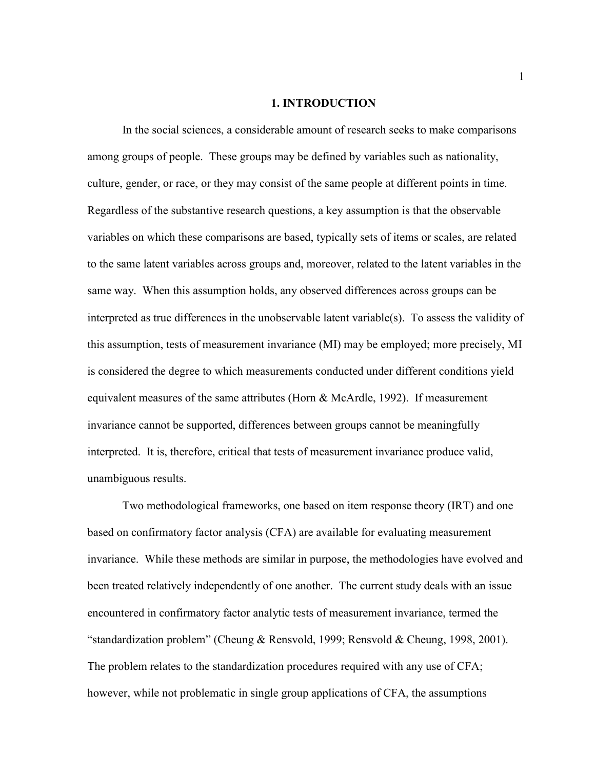#### 1. INTRODUCTION

In the social sciences, a considerable amount of research seeks to make comparisons among groups of people. These groups may be defined by variables such as nationality, culture, gender, or race, or they may consist of the same people at different points in time. Regardless of the substantive research questions, a key assumption is that the observable variables on which these comparisons are based, typically sets of items or scales, are related to the same latent variables across groups and, moreover, related to the latent variables in the same way. When this assumption holds, any observed differences across groups can be interpreted as true differences in the unobservable latent variable(s). To assess the validity of this assumption, tests of measurement invariance (MI) may be employed; more precisely, MI is considered the degree to which measurements conducted under different conditions yield equivalent measures of the same attributes (Horn & McArdle, 1992). If measurement invariance cannot be supported, differences between groups cannot be meaningfully interpreted. It is, therefore, critical that tests of measurement invariance produce valid, unambiguous results.

 Two methodological frameworks, one based on item response theory (IRT) and one based on confirmatory factor analysis (CFA) are available for evaluating measurement invariance. While these methods are similar in purpose, the methodologies have evolved and been treated relatively independently of one another. The current study deals with an issue encountered in confirmatory factor analytic tests of measurement invariance, termed the "standardization problem" (Cheung & Rensvold, 1999; Rensvold & Cheung, 1998, 2001). The problem relates to the standardization procedures required with any use of CFA; however, while not problematic in single group applications of CFA, the assumptions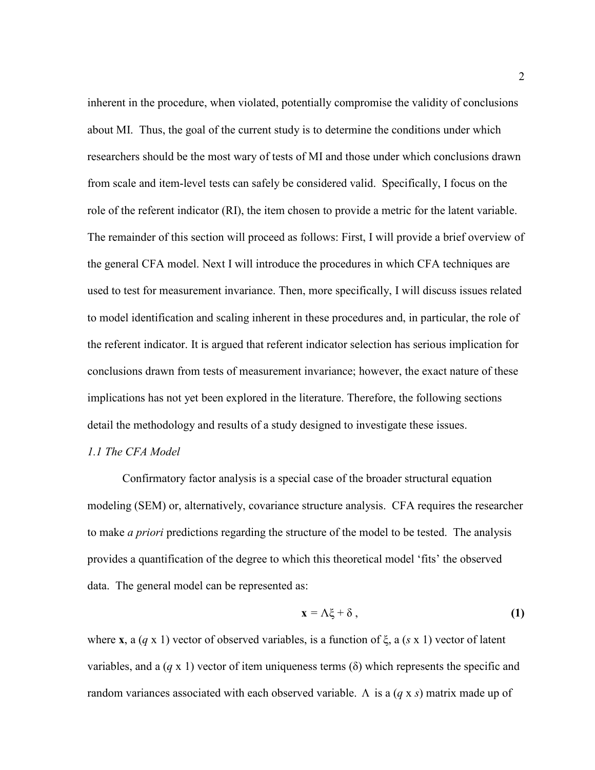inherent in the procedure, when violated, potentially compromise the validity of conclusions about MI. Thus, the goal of the current study is to determine the conditions under which researchers should be the most wary of tests of MI and those under which conclusions drawn from scale and item-level tests can safely be considered valid. Specifically, I focus on the role of the referent indicator (RI), the item chosen to provide a metric for the latent variable. The remainder of this section will proceed as follows: First, I will provide a brief overview of the general CFA model. Next I will introduce the procedures in which CFA techniques are used to test for measurement invariance. Then, more specifically, I will discuss issues related to model identification and scaling inherent in these procedures and, in particular, the role of the referent indicator. It is argued that referent indicator selection has serious implication for conclusions drawn from tests of measurement invariance; however, the exact nature of these implications has not yet been explored in the literature. Therefore, the following sections detail the methodology and results of a study designed to investigate these issues.

## 1.1 The CFA Model

Confirmatory factor analysis is a special case of the broader structural equation modeling (SEM) or, alternatively, covariance structure analysis. CFA requires the researcher to make *a priori* predictions regarding the structure of the model to be tested. The analysis provides a quantification of the degree to which this theoretical model 'fits' the observed data. The general model can be represented as:

$$
\mathbf{x} = \Lambda \xi + \delta \,, \tag{1}
$$

where x, a  $(q \times 1)$  vector of observed variables, is a function of  $\xi$ , a  $(s \times 1)$  vector of latent variables, and a  $(q \times 1)$  vector of item uniqueness terms  $(\delta)$  which represents the specific and random variances associated with each observed variable.  $\Lambda$  is a  $(q \times s)$  matrix made up of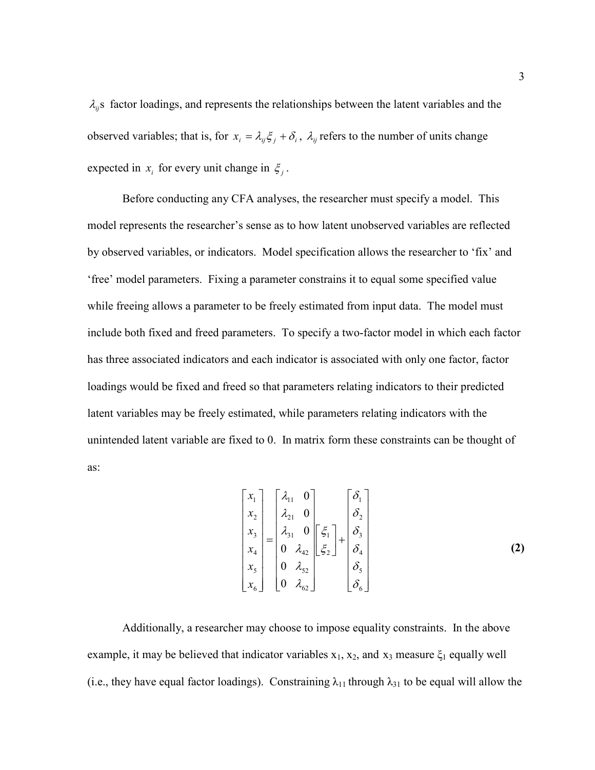$\lambda_{ii}$ s factor loadings, and represents the relationships between the latent variables and the observed variables; that is, for  $x_i = \lambda_{ij} \xi_j + \delta_i$ ,  $\lambda_{ij}$  refers to the number of units change expected in  $x_i$  for every unit change in  $\xi_j$ .

 Before conducting any CFA analyses, the researcher must specify a model. This model represents the researcher's sense as to how latent unobserved variables are reflected by observed variables, or indicators. Model specification allows the researcher to 'fix' and 'free' model parameters. Fixing a parameter constrains it to equal some specified value while freeing allows a parameter to be freely estimated from input data. The model must include both fixed and freed parameters. To specify a two-factor model in which each factor has three associated indicators and each indicator is associated with only one factor, factor loadings would be fixed and freed so that parameters relating indicators to their predicted latent variables may be freely estimated, while parameters relating indicators with the unintended latent variable are fixed to 0. In matrix form these constraints can be thought of as:

$$
\begin{bmatrix} x_1 \\ x_2 \\ x_3 \\ x_4 \\ x_5 \\ x_6 \end{bmatrix} = \begin{bmatrix} \lambda_{11} & 0 \\ \lambda_{21} & 0 \\ \lambda_{31} & 0 \\ 0 & \lambda_{42} \\ 0 & \lambda_{52} \\ 0 & \lambda_{62} \end{bmatrix} \begin{bmatrix} \xi_1 \\ \xi_2 \\ \xi_3 \end{bmatrix} + \begin{bmatrix} \delta_1 \\ \delta_2 \\ \delta_3 \\ \delta_4 \\ \delta_5 \\ \delta_6 \end{bmatrix}
$$
 (2)

Additionally, a researcher may choose to impose equality constraints. In the above example, it may be believed that indicator variables  $x_1$ ,  $x_2$ , and  $x_3$  measure  $\xi_1$  equally well (i.e., they have equal factor loadings). Constraining  $\lambda_{11}$  through  $\lambda_{31}$  to be equal will allow the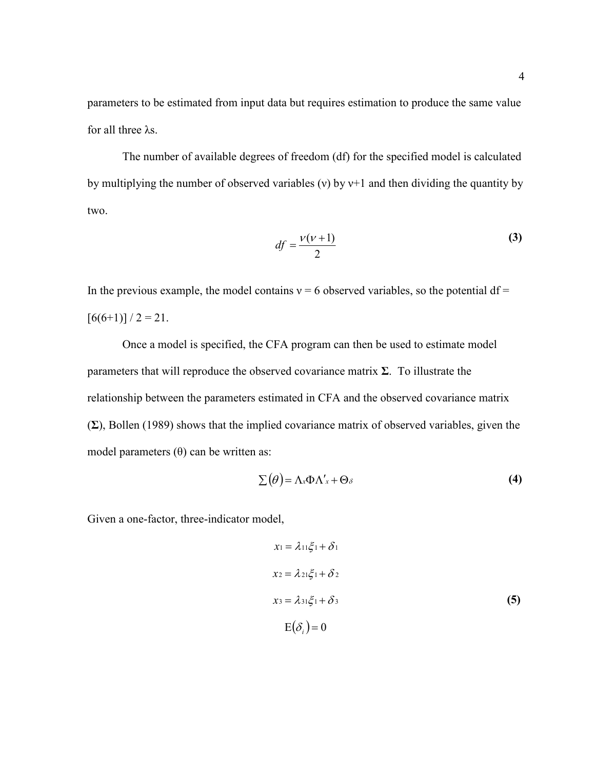parameters to be estimated from input data but requires estimation to produce the same value for all three λs.

The number of available degrees of freedom (df) for the specified model is calculated by multiplying the number of observed variables (v) by  $v+1$  and then dividing the quantity by two.

$$
df = \frac{v(v+1)}{2} \tag{3}
$$

In the previous example, the model contains  $v = 6$  observed variables, so the potential df =  $[6(6+1)] / 2 = 21.$ 

Once a model is specified, the CFA program can then be used to estimate model parameters that will reproduce the observed covariance matrix  $\Sigma$ . To illustrate the relationship between the parameters estimated in CFA and the observed covariance matrix  $(\Sigma)$ , Bollen (1989) shows that the implied covariance matrix of observed variables, given the model parameters  $(θ)$  can be written as:

$$
\sum (\theta) = \Lambda_x \Phi \Lambda'_x + \Theta_{\delta}
$$
 (4)

Given a one-factor, three-indicator model,

$$
x_1 = \lambda_{11}\xi_1 + \delta_1
$$
  
\n
$$
x_2 = \lambda_{21}\xi_1 + \delta_2
$$
  
\n
$$
x_3 = \lambda_{31}\xi_1 + \delta_3
$$
  
\n
$$
E(\delta_i) = 0
$$
  
\n(5)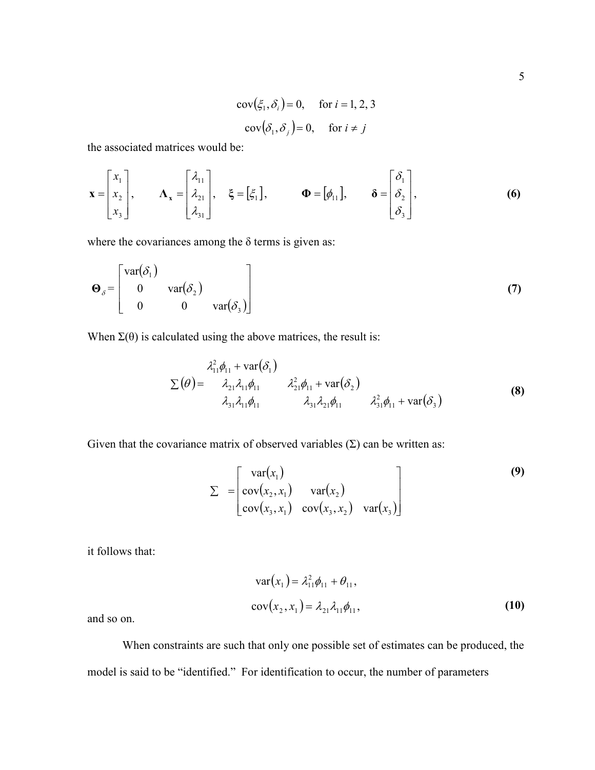$$
cov(\xi_1, \delta_i) = 0, \quad \text{for } i = 1, 2, 3
$$

$$
cov(\delta_1, \delta_j) = 0, \quad \text{for } i \neq j
$$

the associated matrices would be:

$$
\mathbf{x} = \begin{bmatrix} x_1 \\ x_2 \\ x_3 \end{bmatrix}, \qquad \mathbf{\Lambda}_{\mathbf{x}} = \begin{bmatrix} \lambda_{11} \\ \lambda_{21} \\ \lambda_{31} \end{bmatrix}, \qquad \xi = \begin{bmatrix} \xi_1 \end{bmatrix}, \qquad \mathbf{\Phi} = \begin{bmatrix} \phi_{11} \end{bmatrix}, \qquad \delta = \begin{bmatrix} \delta_1 \\ \delta_2 \\ \delta_3 \end{bmatrix}, \qquad (6)
$$

where the covariances among the  $\delta$  terms is given as:

$$
\mathbf{\Theta}_{\delta} = \begin{bmatrix} \text{var}(\delta_1) & \\ 0 & \text{var}(\delta_2) \\ 0 & 0 & \text{var}(\delta_3) \end{bmatrix} \tag{7}
$$

When  $\Sigma(\theta)$  is calculated using the above matrices, the result is:

$$
\Sigma(\theta) = \begin{cases}\n\lambda_{11}^2 \phi_{11} + \text{var}(\delta_1) \\
\lambda_{21} \lambda_{11} \phi_{11} & \lambda_{21}^2 \phi_{11} + \text{var}(\delta_2) \\
\lambda_{31} \lambda_{11} \phi_{11} & \lambda_{31} \lambda_{21} \phi_{11} & \lambda_{31}^2 \phi_{11} + \text{var}(\delta_3)\n\end{cases}
$$
\n(8)

Given that the covariance matrix of observed variables  $(\Sigma)$  can be written as:

$$
\Sigma = \begin{bmatrix} \text{var}(x_1) \\ \text{cov}(x_2, x_1) & \text{var}(x_2) \\ \text{cov}(x_3, x_1) & \text{cov}(x_3, x_2) & \text{var}(x_3) \end{bmatrix}
$$
 (9)

it follows that:

$$
\operatorname{var}(x_1) = \lambda_{11}^2 \phi_{11} + \theta_{11},
$$
  
\n
$$
\operatorname{cov}(x_2, x_1) = \lambda_{21} \lambda_{11} \phi_{11},
$$
 (10)

and so on.

 When constraints are such that only one possible set of estimates can be produced, the model is said to be "identified." For identification to occur, the number of parameters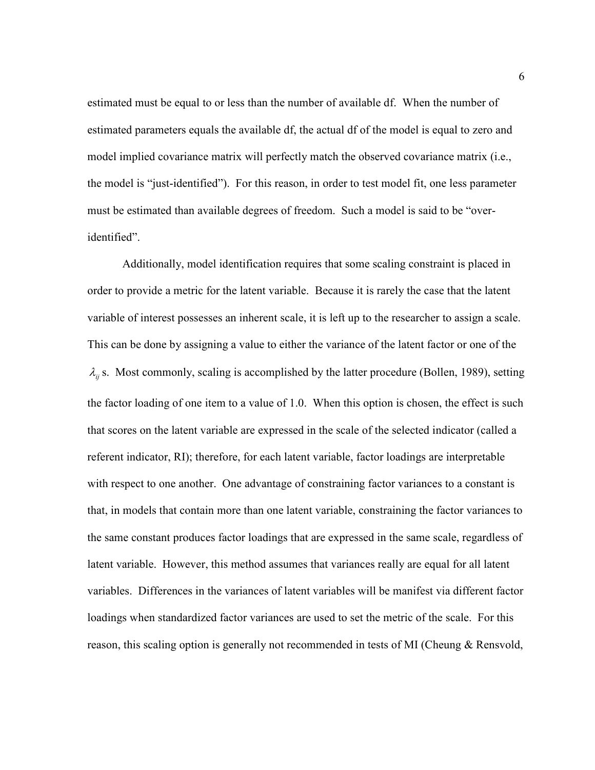estimated must be equal to or less than the number of available df. When the number of estimated parameters equals the available df, the actual df of the model is equal to zero and model implied covariance matrix will perfectly match the observed covariance matrix (i.e., the model is "just-identified"). For this reason, in order to test model fit, one less parameter must be estimated than available degrees of freedom. Such a model is said to be "overidentified".

 Additionally, model identification requires that some scaling constraint is placed in order to provide a metric for the latent variable. Because it is rarely the case that the latent variable of interest possesses an inherent scale, it is left up to the researcher to assign a scale. This can be done by assigning a value to either the variance of the latent factor or one of the  $\lambda_{ii}$  s. Most commonly, scaling is accomplished by the latter procedure (Bollen, 1989), setting the factor loading of one item to a value of 1.0. When this option is chosen, the effect is such that scores on the latent variable are expressed in the scale of the selected indicator (called a referent indicator, RI); therefore, for each latent variable, factor loadings are interpretable with respect to one another. One advantage of constraining factor variances to a constant is that, in models that contain more than one latent variable, constraining the factor variances to the same constant produces factor loadings that are expressed in the same scale, regardless of latent variable. However, this method assumes that variances really are equal for all latent variables. Differences in the variances of latent variables will be manifest via different factor loadings when standardized factor variances are used to set the metric of the scale. For this reason, this scaling option is generally not recommended in tests of MI (Cheung & Rensvold,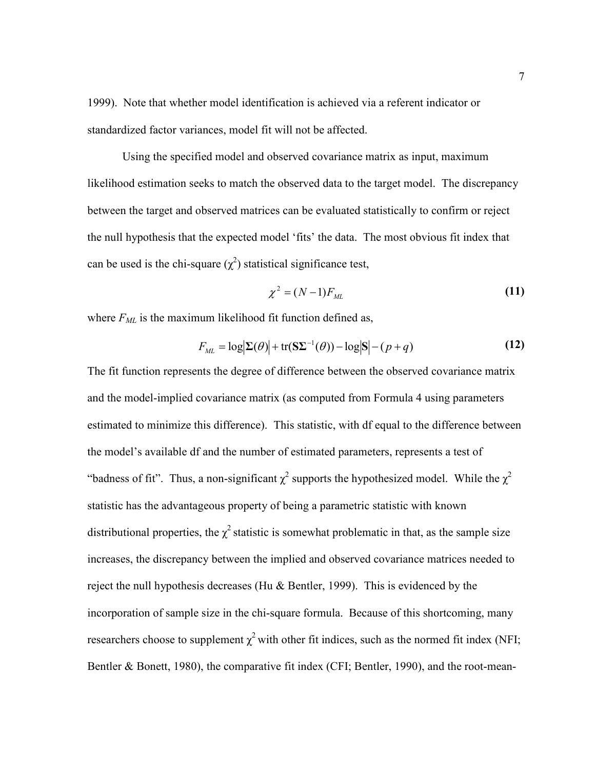1999). Note that whether model identification is achieved via a referent indicator or standardized factor variances, model fit will not be affected.

 Using the specified model and observed covariance matrix as input, maximum likelihood estimation seeks to match the observed data to the target model. The discrepancy between the target and observed matrices can be evaluated statistically to confirm or reject the null hypothesis that the expected model 'fits' the data. The most obvious fit index that can be used is the chi-square  $(\chi^2)$  statistical significance test,

$$
\chi^2 = (N-1)F_{ML} \tag{11}
$$

where  $F_{ML}$  is the maximum likelihood fit function defined as,

$$
F_{ML} = \log \left| \Sigma(\theta) \right| + \text{tr}(\mathbf{S} \Sigma^{-1}(\theta)) - \log \left| \mathbf{S} \right| - (p+q) \tag{12}
$$

The fit function represents the degree of difference between the observed covariance matrix and the model-implied covariance matrix (as computed from Formula 4 using parameters estimated to minimize this difference). This statistic, with df equal to the difference between the model's available df and the number of estimated parameters, represents a test of "badness of fit". Thus, a non-significant  $\chi^2$  supports the hypothesized model. While the  $\chi^2$ statistic has the advantageous property of being a parametric statistic with known distributional properties, the  $\chi^2$  statistic is somewhat problematic in that, as the sample size increases, the discrepancy between the implied and observed covariance matrices needed to reject the null hypothesis decreases (Hu  $&$  Bentler, 1999). This is evidenced by the incorporation of sample size in the chi-square formula. Because of this shortcoming, many researchers choose to supplement  $\chi^2$  with other fit indices, such as the normed fit index (NFI; Bentler & Bonett, 1980), the comparative fit index (CFI; Bentler, 1990), and the root-mean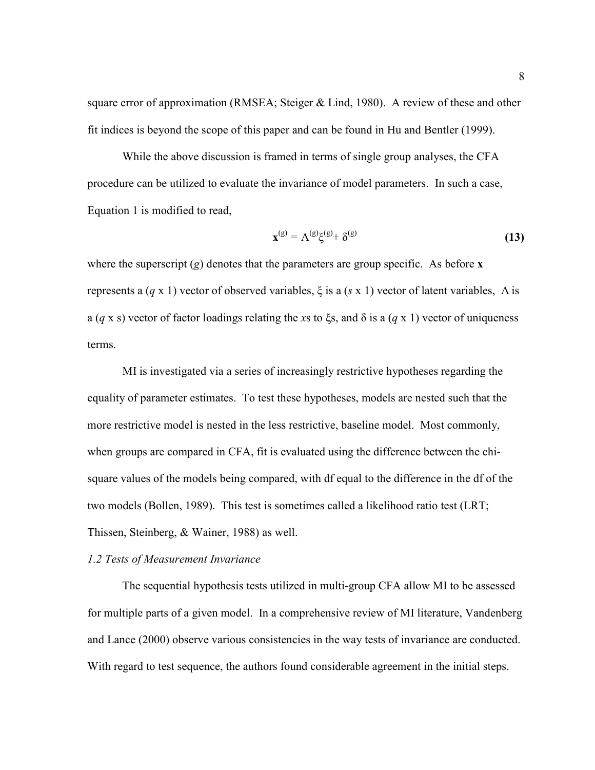square error of approximation (RMSEA; Steiger & Lind, 1980). A review of these and other fit indices is beyond the scope of this paper and can be found in Hu and Bentler (1999).

 While the above discussion is framed in terms of single group analyses, the CFA procedure can be utilized to evaluate the invariance of model parameters. In such a case, Equation 1 is modified to read,

$$
\mathbf{x}^{(g)} = \Lambda^{(g)} \xi^{(g)} + \delta^{(g)}
$$
 (13)

where the superscript  $(g)$  denotes that the parameters are group specific. As before x represents a (q x 1) vector of observed variables,  $\xi$  is a (s x 1) vector of latent variables,  $\Lambda$  is a (q x s) vector of factor loadings relating the xs to  $\xi$ s, and  $\delta$  is a (q x 1) vector of uniqueness terms.

 MI is investigated via a series of increasingly restrictive hypotheses regarding the equality of parameter estimates. To test these hypotheses, models are nested such that the more restrictive model is nested in the less restrictive, baseline model. Most commonly, when groups are compared in CFA, fit is evaluated using the difference between the chisquare values of the models being compared, with df equal to the difference in the df of the two models (Bollen, 1989). This test is sometimes called a likelihood ratio test (LRT; Thissen, Steinberg, & Wainer, 1988) as well.

### 1.2 Tests of Measurement Invariance

The sequential hypothesis tests utilized in multi-group CFA allow MI to be assessed for multiple parts of a given model. In a comprehensive review of MI literature, Vandenberg and Lance (2000) observe various consistencies in the way tests of invariance are conducted. With regard to test sequence, the authors found considerable agreement in the initial steps.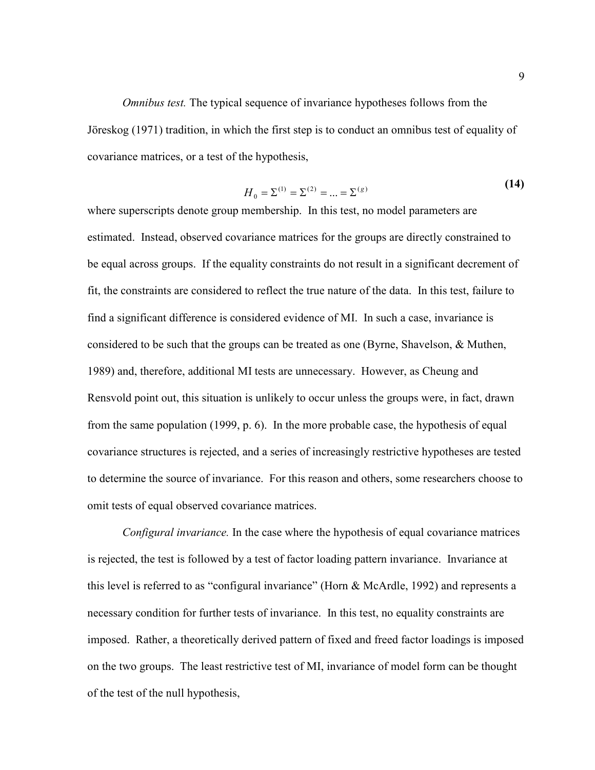Omnibus test. The typical sequence of invariance hypotheses follows from the Jöreskog (1971) tradition, in which the first step is to conduct an omnibus test of equality of covariance matrices, or a test of the hypothesis,

$$
H_0 = \Sigma^{(1)} = \Sigma^{(2)} = \dots = \Sigma^{(g)}
$$
 (14)

where superscripts denote group membership. In this test, no model parameters are estimated. Instead, observed covariance matrices for the groups are directly constrained to be equal across groups. If the equality constraints do not result in a significant decrement of fit, the constraints are considered to reflect the true nature of the data. In this test, failure to find a significant difference is considered evidence of MI. In such a case, invariance is considered to be such that the groups can be treated as one (Byrne, Shavelson, & Muthen, 1989) and, therefore, additional MI tests are unnecessary. However, as Cheung and Rensvold point out, this situation is unlikely to occur unless the groups were, in fact, drawn from the same population (1999, p. 6). In the more probable case, the hypothesis of equal covariance structures is rejected, and a series of increasingly restrictive hypotheses are tested to determine the source of invariance. For this reason and others, some researchers choose to omit tests of equal observed covariance matrices.

Configural invariance. In the case where the hypothesis of equal covariance matrices is rejected, the test is followed by a test of factor loading pattern invariance. Invariance at this level is referred to as "configural invariance" (Horn & McArdle, 1992) and represents a necessary condition for further tests of invariance. In this test, no equality constraints are imposed. Rather, a theoretically derived pattern of fixed and freed factor loadings is imposed on the two groups. The least restrictive test of MI, invariance of model form can be thought of the test of the null hypothesis,

 $(14)$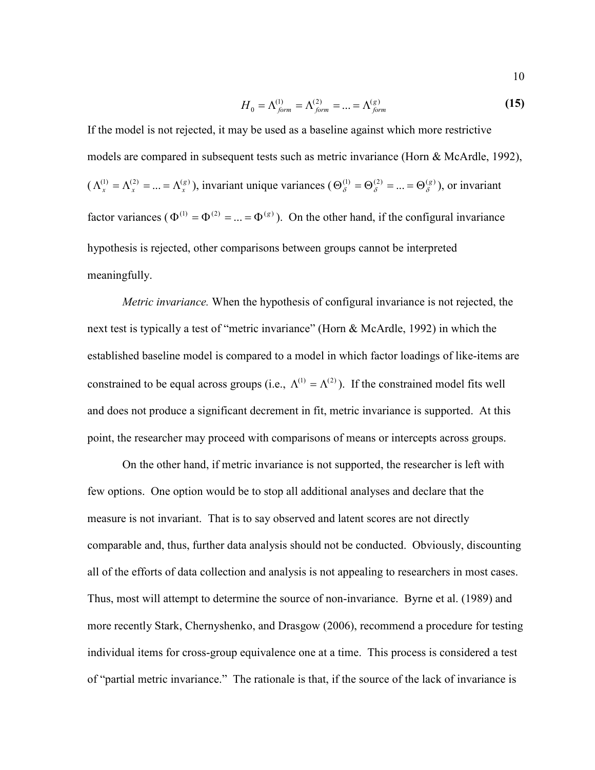$$
H_0 = \Lambda_{form}^{(1)} = \Lambda_{form}^{(2)} = ... = \Lambda_{form}^{(g)}
$$
(15)

If the model is not rejected, it may be used as a baseline against which more restrictive models are compared in subsequent tests such as metric invariance (Horn & McArdle, 1992),  $(\Lambda_x^{(1)} = \Lambda_x^{(2)} = ... = \Lambda_x^{(g)})$ , invariant unique variances  $(\Theta_\delta^{(1)} = \Theta_\delta^{(2)} = ... = \Theta_\delta^{(g)})$ , or invariant factor variances ( $\Phi^{(1)} = \Phi^{(2)} = ... = \Phi^{(g)}$ ). On the other hand, if the configural invariance hypothesis is rejected, other comparisons between groups cannot be interpreted meaningfully.

Metric invariance. When the hypothesis of configural invariance is not rejected, the next test is typically a test of "metric invariance" (Horn & McArdle, 1992) in which the established baseline model is compared to a model in which factor loadings of like-items are constrained to be equal across groups (i.e.,  $\Lambda^{(1)} = \Lambda^{(2)}$ ). If the constrained model fits well and does not produce a significant decrement in fit, metric invariance is supported. At this point, the researcher may proceed with comparisons of means or intercepts across groups.

 On the other hand, if metric invariance is not supported, the researcher is left with few options. One option would be to stop all additional analyses and declare that the measure is not invariant. That is to say observed and latent scores are not directly comparable and, thus, further data analysis should not be conducted. Obviously, discounting all of the efforts of data collection and analysis is not appealing to researchers in most cases. Thus, most will attempt to determine the source of non-invariance. Byrne et al. (1989) and more recently Stark, Chernyshenko, and Drasgow (2006), recommend a procedure for testing individual items for cross-group equivalence one at a time. This process is considered a test of "partial metric invariance." The rationale is that, if the source of the lack of invariance is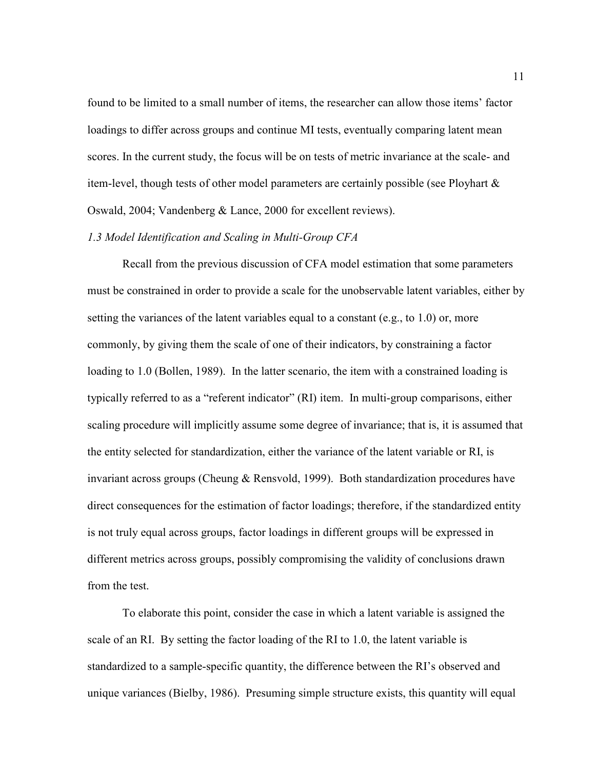found to be limited to a small number of items, the researcher can allow those items' factor loadings to differ across groups and continue MI tests, eventually comparing latent mean scores. In the current study, the focus will be on tests of metric invariance at the scale- and item-level, though tests of other model parameters are certainly possible (see Ployhart  $\&$ Oswald, 2004; Vandenberg & Lance, 2000 for excellent reviews).

#### 1.3 Model Identification and Scaling in Multi-Group CFA

Recall from the previous discussion of CFA model estimation that some parameters must be constrained in order to provide a scale for the unobservable latent variables, either by setting the variances of the latent variables equal to a constant (e.g., to 1.0) or, more commonly, by giving them the scale of one of their indicators, by constraining a factor loading to 1.0 (Bollen, 1989). In the latter scenario, the item with a constrained loading is typically referred to as a "referent indicator" (RI) item. In multi-group comparisons, either scaling procedure will implicitly assume some degree of invariance; that is, it is assumed that the entity selected for standardization, either the variance of the latent variable or RI, is invariant across groups (Cheung & Rensvold, 1999). Both standardization procedures have direct consequences for the estimation of factor loadings; therefore, if the standardized entity is not truly equal across groups, factor loadings in different groups will be expressed in different metrics across groups, possibly compromising the validity of conclusions drawn from the test.

 To elaborate this point, consider the case in which a latent variable is assigned the scale of an RI. By setting the factor loading of the RI to 1.0, the latent variable is standardized to a sample-specific quantity, the difference between the RI's observed and unique variances (Bielby, 1986). Presuming simple structure exists, this quantity will equal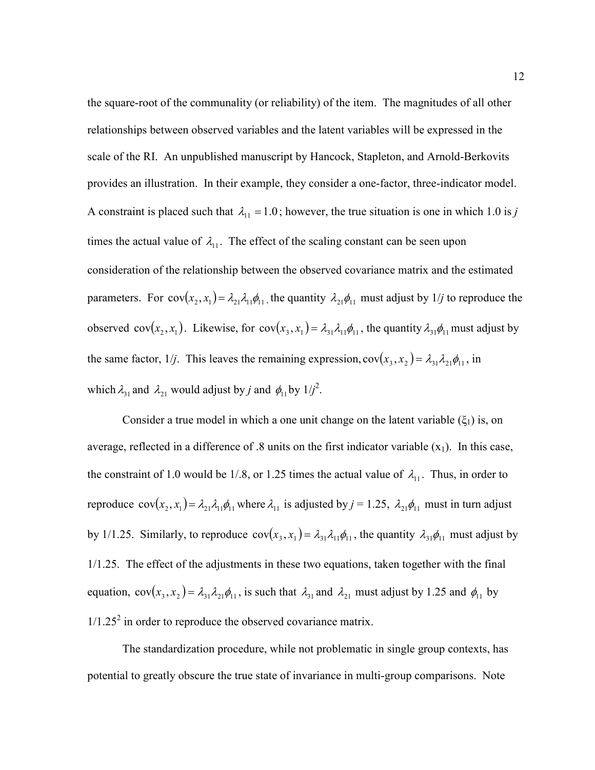the square-root of the communality (or reliability) of the item. The magnitudes of all other relationships between observed variables and the latent variables will be expressed in the scale of the RI. An unpublished manuscript by Hancock, Stapleton, and Arnold-Berkovits provides an illustration. In their example, they consider a one-factor, three-indicator model. A constraint is placed such that  $\lambda_{11} = 1.0$ ; however, the true situation is one in which 1.0 is j times the actual value of  $\lambda_{11}$ . The effect of the scaling constant can be seen upon consideration of the relationship between the observed covariance matrix and the estimated parameters. For  $cov(x_2, x_1) = \lambda_{21} \lambda_{11} \phi_{11}$ , the quantity  $\lambda_{21} \phi_{11}$  must adjust by 1/j to reproduce the observed  $cov(x_2, x_1)$ . Likewise, for  $cov(x_3, x_1) = \lambda_{31} \lambda_{11} \phi_{11}$ , the quantity  $\lambda_{31} \phi_{11}$  must adjust by the same factor,  $1/j$ . This leaves the remaining expression,  $cov(x_3, x_2) = \lambda_{31} \lambda_{21} \phi_{11}$ , in which  $\lambda_{31}$  and  $\lambda_{21}$  would adjust by j and  $\phi_{11}$  by  $1/j^2$ .

Consider a true model in which a one unit change on the latent variable  $(\xi_1)$  is, on average, reflected in a difference of .8 units on the first indicator variable  $(x_1)$ . In this case, the constraint of 1.0 would be 1/.8, or 1.25 times the actual value of  $\lambda_{11}$ . Thus, in order to reproduce  $cov(x_2, x_1) = \lambda_{21} \lambda_{11} \phi_{11}$  where  $\lambda_{11}$  is adjusted by  $j = 1.25$ ,  $\lambda_{21} \phi_{11}$  must in turn adjust by 1/1.25. Similarly, to reproduce  $cov(x_3, x_1) = \lambda_{31} \lambda_{11} \phi_{11}$ , the quantity  $\lambda_{31} \phi_{11}$  must adjust by 1/1.25. The effect of the adjustments in these two equations, taken together with the final equation,  $cov(x_3, x_2) = \lambda_{31} \lambda_{21} \phi_{11}$ , is such that  $\lambda_{31}$  and  $\lambda_{21}$  must adjust by 1.25 and  $\phi_{11}$  by  $1/1.25<sup>2</sup>$  in order to reproduce the observed covariance matrix.

The standardization procedure, while not problematic in single group contexts, has potential to greatly obscure the true state of invariance in multi-group comparisons. Note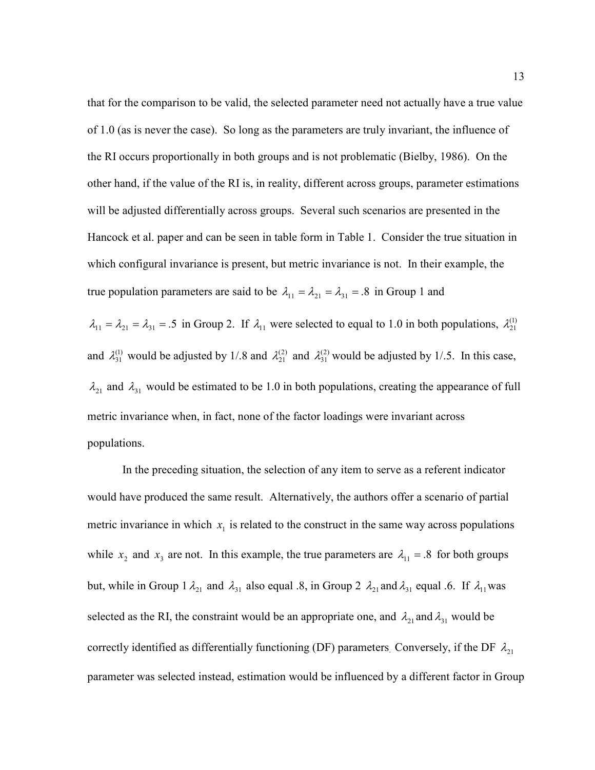that for the comparison to be valid, the selected parameter need not actually have a true value of 1.0 (as is never the case). So long as the parameters are truly invariant, the influence of the RI occurs proportionally in both groups and is not problematic (Bielby, 1986). On the other hand, if the value of the RI is, in reality, different across groups, parameter estimations will be adjusted differentially across groups. Several such scenarios are presented in the Hancock et al. paper and can be seen in table form in Table 1. Consider the true situation in which configural invariance is present, but metric invariance is not. In their example, the true population parameters are said to be  $\lambda_{11} = \lambda_{21} = \lambda_{31} = .8$  in Group 1 and  $\lambda_{11} = \lambda_{21} = \lambda_{31} = .5$  in Group 2. If  $\lambda_{11}$  were selected to equal to 1.0 in both populations,  $\lambda_{21}^{(1)}$ 

and  $\lambda_{31}^{(1)}$  would be adjusted by 1/.8 and  $\lambda_{21}^{(2)}$  and  $\lambda_{31}^{(2)}$  would be adjusted by 1/.5. In this case,  $\lambda_{21}$  and  $\lambda_{31}$  would be estimated to be 1.0 in both populations, creating the appearance of full metric invariance when, in fact, none of the factor loadings were invariant across populations.

In the preceding situation, the selection of any item to serve as a referent indicator would have produced the same result. Alternatively, the authors offer a scenario of partial metric invariance in which  $x_1$  is related to the construct in the same way across populations while  $x_2$  and  $x_3$  are not. In this example, the true parameters are  $\lambda_{11} = .8$  for both groups but, while in Group 1  $\lambda_{21}$  and  $\lambda_{31}$  also equal .8, in Group 2  $\lambda_{21}$  and  $\lambda_{31}$  equal .6. If  $\lambda_{11}$  was selected as the RI, the constraint would be an appropriate one, and  $\lambda_{21}$  and  $\lambda_{31}$  would be correctly identified as differentially functioning (DF) parameters. Conversely, if the DF  $\lambda_{21}$ parameter was selected instead, estimation would be influenced by a different factor in Group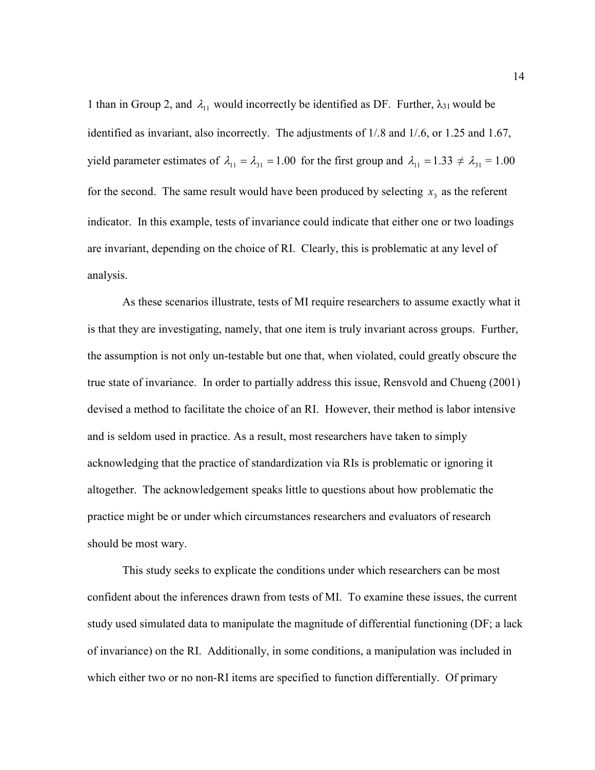1 than in Group 2, and  $\lambda_{11}$  would incorrectly be identified as DF. Further,  $\lambda_{31}$  would be identified as invariant, also incorrectly. The adjustments of 1/.8 and 1/.6, or 1.25 and 1.67, yield parameter estimates of  $\lambda_{11} = \lambda_{31} = 1.00$  for the first group and  $\lambda_{11} = 1.33 \neq \lambda_{31} = 1.00$ for the second. The same result would have been produced by selecting  $x_3$  as the referent indicator. In this example, tests of invariance could indicate that either one or two loadings are invariant, depending on the choice of RI. Clearly, this is problematic at any level of analysis.

As these scenarios illustrate, tests of MI require researchers to assume exactly what it is that they are investigating, namely, that one item is truly invariant across groups. Further, the assumption is not only un-testable but one that, when violated, could greatly obscure the true state of invariance. In order to partially address this issue, Rensvold and Chueng (2001) devised a method to facilitate the choice of an RI. However, their method is labor intensive and is seldom used in practice. As a result, most researchers have taken to simply acknowledging that the practice of standardization via RIs is problematic or ignoring it altogether. The acknowledgement speaks little to questions about how problematic the practice might be or under which circumstances researchers and evaluators of research should be most wary.

This study seeks to explicate the conditions under which researchers can be most confident about the inferences drawn from tests of MI. To examine these issues, the current study used simulated data to manipulate the magnitude of differential functioning (DF; a lack of invariance) on the RI. Additionally, in some conditions, a manipulation was included in which either two or no non-RI items are specified to function differentially. Of primary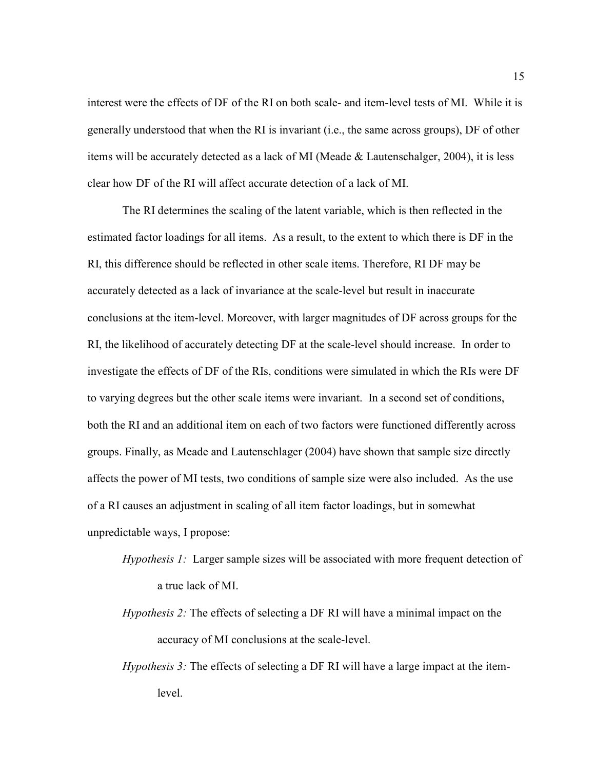interest were the effects of DF of the RI on both scale- and item-level tests of MI. While it is generally understood that when the RI is invariant (i.e., the same across groups), DF of other items will be accurately detected as a lack of MI (Meade  $&$  Lautenschalger, 2004), it is less clear how DF of the RI will affect accurate detection of a lack of MI.

The RI determines the scaling of the latent variable, which is then reflected in the estimated factor loadings for all items. As a result, to the extent to which there is DF in the RI, this difference should be reflected in other scale items. Therefore, RI DF may be accurately detected as a lack of invariance at the scale-level but result in inaccurate conclusions at the item-level. Moreover, with larger magnitudes of DF across groups for the RI, the likelihood of accurately detecting DF at the scale-level should increase. In order to investigate the effects of DF of the RIs, conditions were simulated in which the RIs were DF to varying degrees but the other scale items were invariant. In a second set of conditions, both the RI and an additional item on each of two factors were functioned differently across groups. Finally, as Meade and Lautenschlager (2004) have shown that sample size directly affects the power of MI tests, two conditions of sample size were also included. As the use of a RI causes an adjustment in scaling of all item factor loadings, but in somewhat unpredictable ways, I propose:

- Hypothesis 1: Larger sample sizes will be associated with more frequent detection of a true lack of MI.
- Hypothesis 2: The effects of selecting a DF RI will have a minimal impact on the accuracy of MI conclusions at the scale-level.
- Hypothesis 3: The effects of selecting a DF RI will have a large impact at the itemlevel.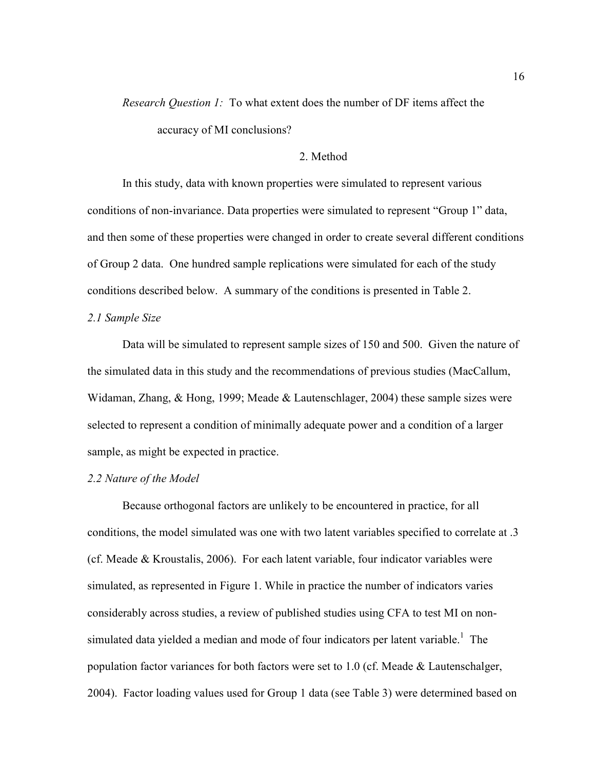Research Question 1: To what extent does the number of DF items affect the accuracy of MI conclusions?

### 2. Method

 In this study, data with known properties were simulated to represent various conditions of non-invariance. Data properties were simulated to represent "Group 1" data, and then some of these properties were changed in order to create several different conditions of Group 2 data. One hundred sample replications were simulated for each of the study conditions described below. A summary of the conditions is presented in Table 2.

## 2.1 Sample Size

 Data will be simulated to represent sample sizes of 150 and 500. Given the nature of the simulated data in this study and the recommendations of previous studies (MacCallum, Widaman, Zhang, & Hong, 1999; Meade & Lautenschlager, 2004) these sample sizes were selected to represent a condition of minimally adequate power and a condition of a larger sample, as might be expected in practice.

#### 2.2 Nature of the Model

 Because orthogonal factors are unlikely to be encountered in practice, for all conditions, the model simulated was one with two latent variables specified to correlate at .3 (cf. Meade & Kroustalis, 2006). For each latent variable, four indicator variables were simulated, as represented in Figure 1. While in practice the number of indicators varies considerably across studies, a review of published studies using CFA to test MI on nonsimulated data yielded a median and mode of four indicators per latent variable.<sup>1</sup> The population factor variances for both factors were set to 1.0 (cf. Meade & Lautenschalger, 2004). Factor loading values used for Group 1 data (see Table 3) were determined based on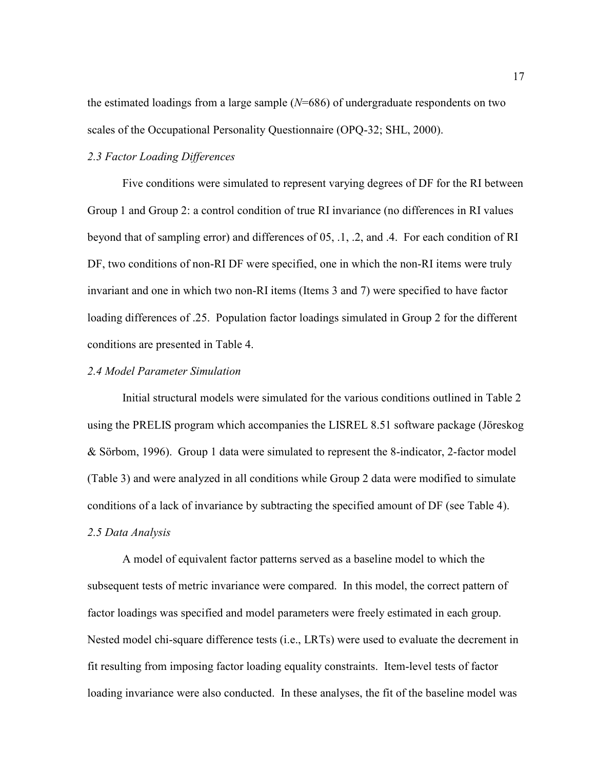the estimated loadings from a large sample  $(N=686)$  of undergraduate respondents on two scales of the Occupational Personality Questionnaire (OPQ-32; SHL, 2000).

### 2.3 Factor Loading Differences

 Five conditions were simulated to represent varying degrees of DF for the RI between Group 1 and Group 2: a control condition of true RI invariance (no differences in RI values beyond that of sampling error) and differences of 05, .1, .2, and .4. For each condition of RI DF, two conditions of non-RI DF were specified, one in which the non-RI items were truly invariant and one in which two non-RI items (Items 3 and 7) were specified to have factor loading differences of .25. Population factor loadings simulated in Group 2 for the different conditions are presented in Table 4.

# 2.4 Model Parameter Simulation

Initial structural models were simulated for the various conditions outlined in Table 2 using the PRELIS program which accompanies the LISREL 8.51 software package (Jöreskog & Sörbom, 1996). Group 1 data were simulated to represent the 8-indicator, 2-factor model (Table 3) and were analyzed in all conditions while Group 2 data were modified to simulate conditions of a lack of invariance by subtracting the specified amount of DF (see Table 4). 2.5 Data Analysis

 A model of equivalent factor patterns served as a baseline model to which the subsequent tests of metric invariance were compared. In this model, the correct pattern of factor loadings was specified and model parameters were freely estimated in each group. Nested model chi-square difference tests (i.e., LRTs) were used to evaluate the decrement in fit resulting from imposing factor loading equality constraints. Item-level tests of factor loading invariance were also conducted. In these analyses, the fit of the baseline model was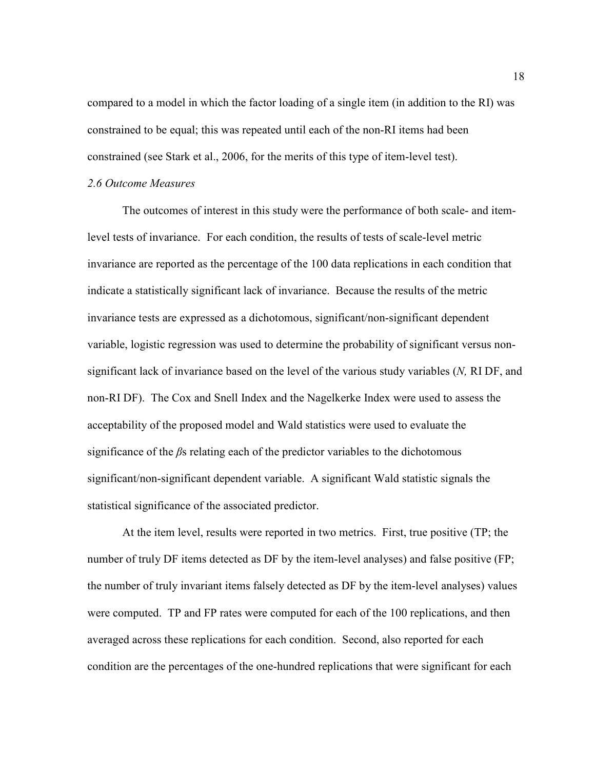compared to a model in which the factor loading of a single item (in addition to the RI) was constrained to be equal; this was repeated until each of the non-RI items had been constrained (see Stark et al., 2006, for the merits of this type of item-level test).

#### 2.6 Outcome Measures

 The outcomes of interest in this study were the performance of both scale- and itemlevel tests of invariance. For each condition, the results of tests of scale-level metric invariance are reported as the percentage of the 100 data replications in each condition that indicate a statistically significant lack of invariance. Because the results of the metric invariance tests are expressed as a dichotomous, significant/non-significant dependent variable, logistic regression was used to determine the probability of significant versus nonsignificant lack of invariance based on the level of the various study variables (N, RI DF, and non-RI DF). The Cox and Snell Index and the Nagelkerke Index were used to assess the acceptability of the proposed model and Wald statistics were used to evaluate the significance of the  $\beta$ s relating each of the predictor variables to the dichotomous significant/non-significant dependent variable. A significant Wald statistic signals the statistical significance of the associated predictor.

 At the item level, results were reported in two metrics. First, true positive (TP; the number of truly DF items detected as DF by the item-level analyses) and false positive (FP; the number of truly invariant items falsely detected as DF by the item-level analyses) values were computed. TP and FP rates were computed for each of the 100 replications, and then averaged across these replications for each condition. Second, also reported for each condition are the percentages of the one-hundred replications that were significant for each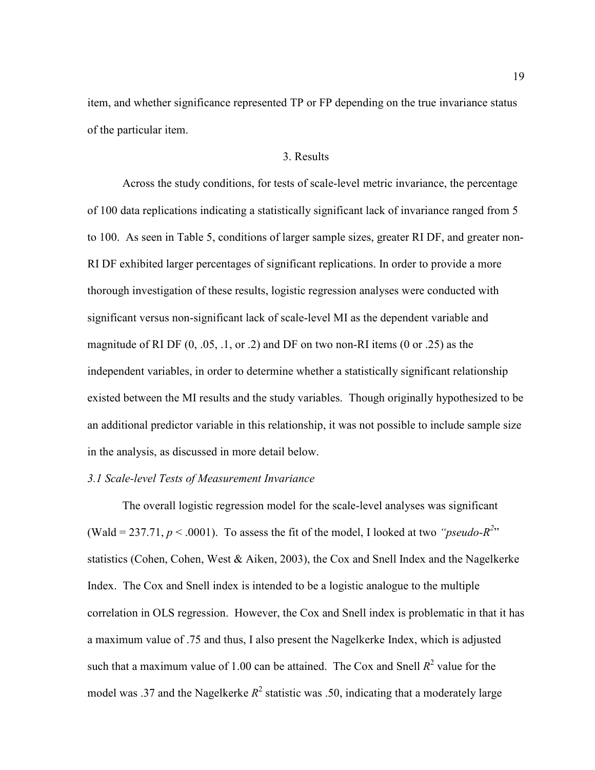item, and whether significance represented TP or FP depending on the true invariance status of the particular item.

#### 3. Results

 Across the study conditions, for tests of scale-level metric invariance, the percentage of 100 data replications indicating a statistically significant lack of invariance ranged from 5 to 100. As seen in Table 5, conditions of larger sample sizes, greater RI DF, and greater non-RI DF exhibited larger percentages of significant replications. In order to provide a more thorough investigation of these results, logistic regression analyses were conducted with significant versus non-significant lack of scale-level MI as the dependent variable and magnitude of RI DF  $(0, .05, .1,$  or .2) and DF on two non-RI items  $(0 \text{ or } .25)$  as the independent variables, in order to determine whether a statistically significant relationship existed between the MI results and the study variables. Though originally hypothesized to be an additional predictor variable in this relationship, it was not possible to include sample size in the analysis, as discussed in more detail below.

#### 3.1 Scale-level Tests of Measurement Invariance

 The overall logistic regression model for the scale-level analyses was significant (Wald = 237.71,  $p < .0001$ ). To assess the fit of the model, I looked at two "*pseudo-R*<sup>2</sup>" statistics (Cohen, Cohen, West & Aiken, 2003), the Cox and Snell Index and the Nagelkerke Index. The Cox and Snell index is intended to be a logistic analogue to the multiple correlation in OLS regression. However, the Cox and Snell index is problematic in that it has a maximum value of .75 and thus, I also present the Nagelkerke Index, which is adjusted such that a maximum value of 1.00 can be attained. The Cox and Snell  $R^2$  value for the model was .37 and the Nagelkerke  $R^2$  statistic was .50, indicating that a moderately large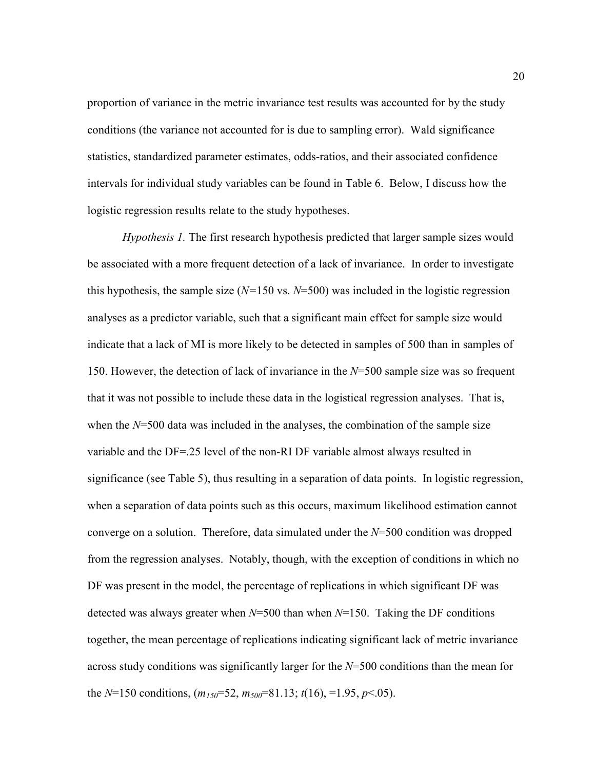proportion of variance in the metric invariance test results was accounted for by the study conditions (the variance not accounted for is due to sampling error). Wald significance statistics, standardized parameter estimates, odds-ratios, and their associated confidence intervals for individual study variables can be found in Table 6. Below, I discuss how the logistic regression results relate to the study hypotheses.

Hypothesis 1. The first research hypothesis predicted that larger sample sizes would be associated with a more frequent detection of a lack of invariance. In order to investigate this hypothesis, the sample size  $(N=150 \text{ vs. } N=500)$  was included in the logistic regression analyses as a predictor variable, such that a significant main effect for sample size would indicate that a lack of MI is more likely to be detected in samples of 500 than in samples of 150. However, the detection of lack of invariance in the  $N=500$  sample size was so frequent that it was not possible to include these data in the logistical regression analyses. That is, when the  $N=500$  data was included in the analyses, the combination of the sample size variable and the DF=.25 level of the non-RI DF variable almost always resulted in significance (see Table 5), thus resulting in a separation of data points. In logistic regression, when a separation of data points such as this occurs, maximum likelihood estimation cannot converge on a solution. Therefore, data simulated under the  $N=500$  condition was dropped from the regression analyses. Notably, though, with the exception of conditions in which no DF was present in the model, the percentage of replications in which significant DF was detected was always greater when  $N=500$  than when  $N=150$ . Taking the DF conditions together, the mean percentage of replications indicating significant lack of metric invariance across study conditions was significantly larger for the  $N=500$  conditions than the mean for the  $N=150$  conditions,  $(m_{150}=52, m_{500}=81.13; t(16), =1.95, p<0.05)$ .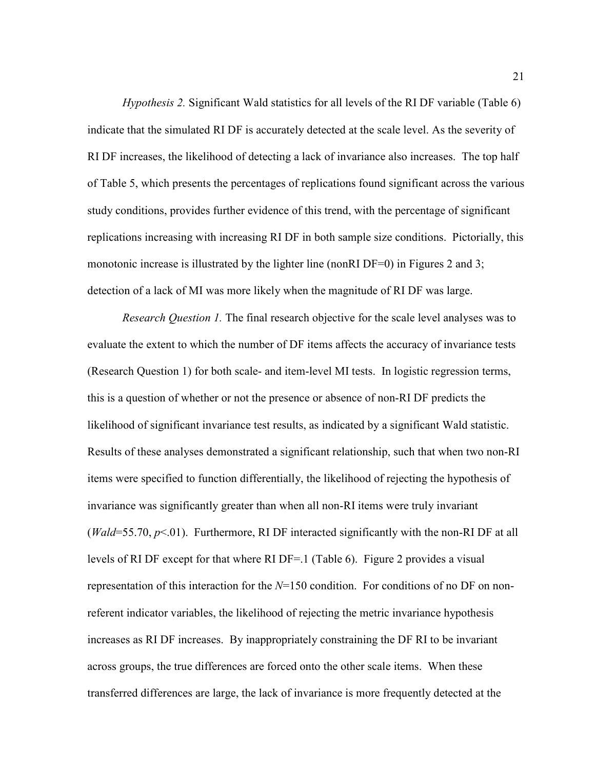Hypothesis 2. Significant Wald statistics for all levels of the RI DF variable (Table 6) indicate that the simulated RI DF is accurately detected at the scale level. As the severity of RI DF increases, the likelihood of detecting a lack of invariance also increases. The top half of Table 5, which presents the percentages of replications found significant across the various study conditions, provides further evidence of this trend, with the percentage of significant replications increasing with increasing RI DF in both sample size conditions. Pictorially, this monotonic increase is illustrated by the lighter line (nonRI DF=0) in Figures 2 and 3; detection of a lack of MI was more likely when the magnitude of RI DF was large.

Research Question 1. The final research objective for the scale level analyses was to evaluate the extent to which the number of DF items affects the accuracy of invariance tests (Research Question 1) for both scale- and item-level MI tests. In logistic regression terms, this is a question of whether or not the presence or absence of non-RI DF predicts the likelihood of significant invariance test results, as indicated by a significant Wald statistic. Results of these analyses demonstrated a significant relationship, such that when two non-RI items were specified to function differentially, the likelihood of rejecting the hypothesis of invariance was significantly greater than when all non-RI items were truly invariant (*Wald*=55.70,  $p<0$ 1). Furthermore, RI DF interacted significantly with the non-RI DF at all levels of RI DF except for that where RI DF=.1 (Table 6). Figure 2 provides a visual representation of this interaction for the  $N=150$  condition. For conditions of no DF on nonreferent indicator variables, the likelihood of rejecting the metric invariance hypothesis increases as RI DF increases. By inappropriately constraining the DF RI to be invariant across groups, the true differences are forced onto the other scale items. When these transferred differences are large, the lack of invariance is more frequently detected at the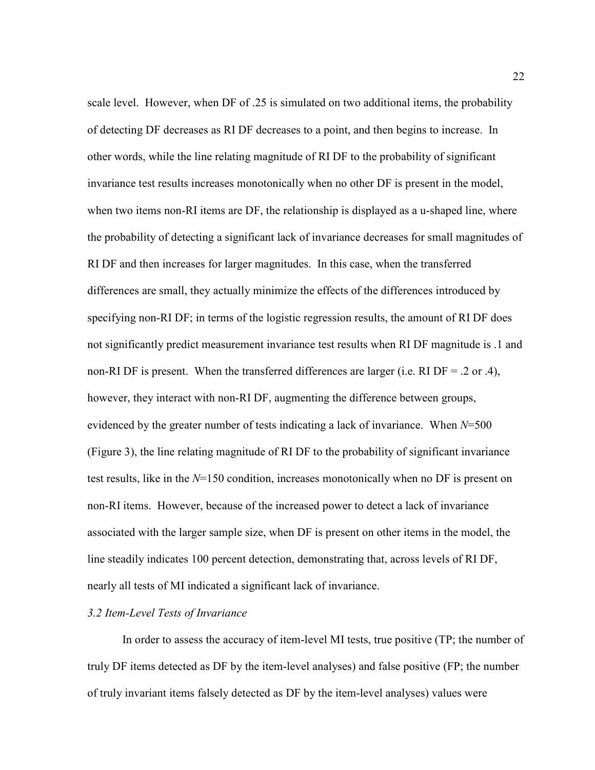scale level. However, when DF of .25 is simulated on two additional items, the probability of detecting DF decreases as RI DF decreases to a point, and then begins to increase. In other words, while the line relating magnitude of RI DF to the probability of significant invariance test results increases monotonically when no other DF is present in the model, when two items non-RI items are DF, the relationship is displayed as a u-shaped line, where the probability of detecting a significant lack of invariance decreases for small magnitudes of RI DF and then increases for larger magnitudes. In this case, when the transferred differences are small, they actually minimize the effects of the differences introduced by specifying non-RI DF; in terms of the logistic regression results, the amount of RI DF does not significantly predict measurement invariance test results when RI DF magnitude is .1 and non-RI DF is present. When the transferred differences are larger (i.e. RI DF = .2 or .4), however, they interact with non-RI DF, augmenting the difference between groups, evidenced by the greater number of tests indicating a lack of invariance. When  $N=500$ (Figure 3), the line relating magnitude of RI DF to the probability of significant invariance test results, like in the  $N=150$  condition, increases monotonically when no DF is present on non-RI items. However, because of the increased power to detect a lack of invariance associated with the larger sample size, when DF is present on other items in the model, the line steadily indicates 100 percent detection, demonstrating that, across levels of RI DF, nearly all tests of MI indicated a significant lack of invariance.

### 3.2 Item-Level Tests of Invariance

 In order to assess the accuracy of item-level MI tests, true positive (TP; the number of truly DF items detected as DF by the item-level analyses) and false positive (FP; the number of truly invariant items falsely detected as DF by the item-level analyses) values were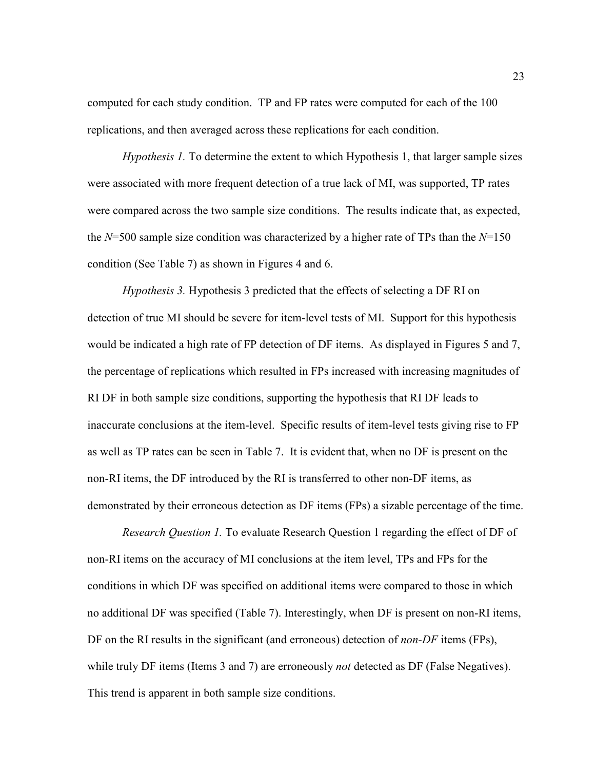computed for each study condition. TP and FP rates were computed for each of the 100 replications, and then averaged across these replications for each condition.

Hypothesis 1. To determine the extent to which Hypothesis 1, that larger sample sizes were associated with more frequent detection of a true lack of MI, was supported, TP rates were compared across the two sample size conditions. The results indicate that, as expected, the  $N=500$  sample size condition was characterized by a higher rate of TPs than the  $N=150$ condition (See Table 7) as shown in Figures 4 and 6.

Hypothesis 3. Hypothesis 3 predicted that the effects of selecting a DF RI on detection of true MI should be severe for item-level tests of MI. Support for this hypothesis would be indicated a high rate of FP detection of DF items. As displayed in Figures 5 and 7, the percentage of replications which resulted in FPs increased with increasing magnitudes of RI DF in both sample size conditions, supporting the hypothesis that RI DF leads to inaccurate conclusions at the item-level. Specific results of item-level tests giving rise to FP as well as TP rates can be seen in Table 7. It is evident that, when no DF is present on the non-RI items, the DF introduced by the RI is transferred to other non-DF items, as demonstrated by their erroneous detection as DF items (FPs) a sizable percentage of the time.

Research Question 1. To evaluate Research Question 1 regarding the effect of DF of non-RI items on the accuracy of MI conclusions at the item level, TPs and FPs for the conditions in which DF was specified on additional items were compared to those in which no additional DF was specified (Table 7). Interestingly, when DF is present on non-RI items, DF on the RI results in the significant (and erroneous) detection of *non-DF* items (FPs), while truly DF items (Items 3 and 7) are erroneously *not* detected as DF (False Negatives). This trend is apparent in both sample size conditions.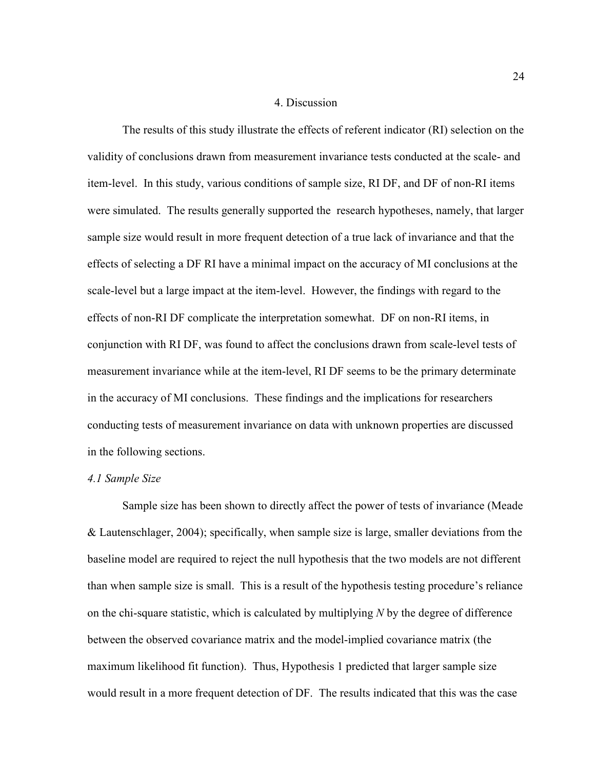#### 4. Discussion

 The results of this study illustrate the effects of referent indicator (RI) selection on the validity of conclusions drawn from measurement invariance tests conducted at the scale- and item-level. In this study, various conditions of sample size, RI DF, and DF of non-RI items were simulated. The results generally supported the research hypotheses, namely, that larger sample size would result in more frequent detection of a true lack of invariance and that the effects of selecting a DF RI have a minimal impact on the accuracy of MI conclusions at the scale-level but a large impact at the item-level. However, the findings with regard to the effects of non-RI DF complicate the interpretation somewhat. DF on non-RI items, in conjunction with RI DF, was found to affect the conclusions drawn from scale-level tests of measurement invariance while at the item-level, RI DF seems to be the primary determinate in the accuracy of MI conclusions. These findings and the implications for researchers conducting tests of measurement invariance on data with unknown properties are discussed in the following sections.

#### 4.1 Sample Size

 Sample size has been shown to directly affect the power of tests of invariance (Meade & Lautenschlager, 2004); specifically, when sample size is large, smaller deviations from the baseline model are required to reject the null hypothesis that the two models are not different than when sample size is small. This is a result of the hypothesis testing procedure's reliance on the chi-square statistic, which is calculated by multiplying  $N$  by the degree of difference between the observed covariance matrix and the model-implied covariance matrix (the maximum likelihood fit function). Thus, Hypothesis 1 predicted that larger sample size would result in a more frequent detection of DF. The results indicated that this was the case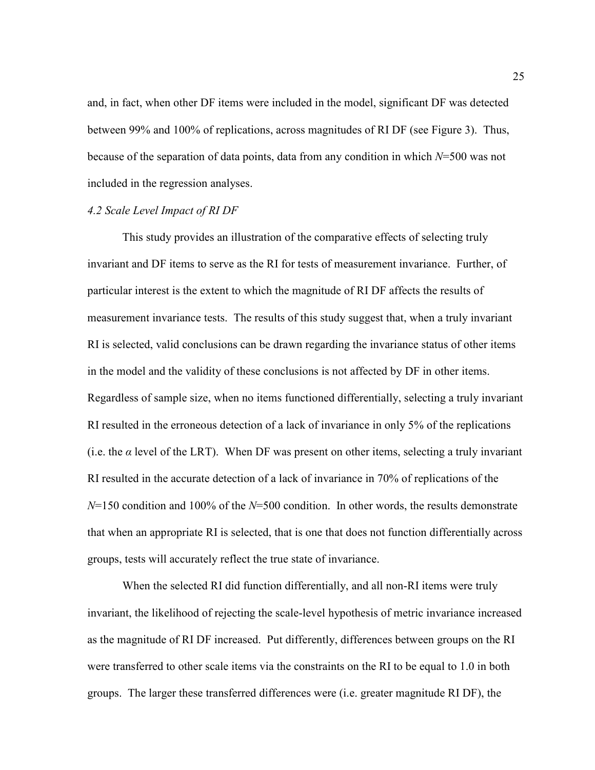and, in fact, when other DF items were included in the model, significant DF was detected between 99% and 100% of replications, across magnitudes of RI DF (see Figure 3). Thus, because of the separation of data points, data from any condition in which  $N=500$  was not included in the regression analyses.

## 4.2 Scale Level Impact of RI DF

This study provides an illustration of the comparative effects of selecting truly invariant and DF items to serve as the RI for tests of measurement invariance. Further, of particular interest is the extent to which the magnitude of RI DF affects the results of measurement invariance tests. The results of this study suggest that, when a truly invariant RI is selected, valid conclusions can be drawn regarding the invariance status of other items in the model and the validity of these conclusions is not affected by DF in other items. Regardless of sample size, when no items functioned differentially, selecting a truly invariant RI resulted in the erroneous detection of a lack of invariance in only 5% of the replications (i.e. the  $\alpha$  level of the LRT). When DF was present on other items, selecting a truly invariant RI resulted in the accurate detection of a lack of invariance in 70% of replications of the  $N=150$  condition and 100% of the  $N=500$  condition. In other words, the results demonstrate that when an appropriate RI is selected, that is one that does not function differentially across groups, tests will accurately reflect the true state of invariance.

When the selected RI did function differentially, and all non-RI items were truly invariant, the likelihood of rejecting the scale-level hypothesis of metric invariance increased as the magnitude of RI DF increased. Put differently, differences between groups on the RI were transferred to other scale items via the constraints on the RI to be equal to 1.0 in both groups. The larger these transferred differences were (i.e. greater magnitude RI DF), the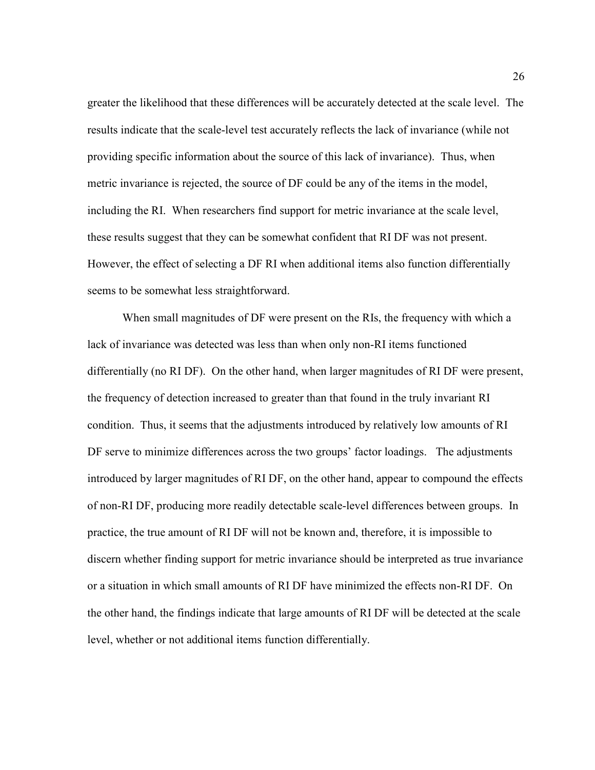greater the likelihood that these differences will be accurately detected at the scale level. The results indicate that the scale-level test accurately reflects the lack of invariance (while not providing specific information about the source of this lack of invariance). Thus, when metric invariance is rejected, the source of DF could be any of the items in the model, including the RI. When researchers find support for metric invariance at the scale level, these results suggest that they can be somewhat confident that RI DF was not present. However, the effect of selecting a DF RI when additional items also function differentially seems to be somewhat less straightforward.

When small magnitudes of DF were present on the RIs, the frequency with which a lack of invariance was detected was less than when only non-RI items functioned differentially (no RI DF). On the other hand, when larger magnitudes of RI DF were present, the frequency of detection increased to greater than that found in the truly invariant RI condition. Thus, it seems that the adjustments introduced by relatively low amounts of RI DF serve to minimize differences across the two groups' factor loadings. The adjustments introduced by larger magnitudes of RI DF, on the other hand, appear to compound the effects of non-RI DF, producing more readily detectable scale-level differences between groups. In practice, the true amount of RI DF will not be known and, therefore, it is impossible to discern whether finding support for metric invariance should be interpreted as true invariance or a situation in which small amounts of RI DF have minimized the effects non-RI DF. On the other hand, the findings indicate that large amounts of RI DF will be detected at the scale level, whether or not additional items function differentially.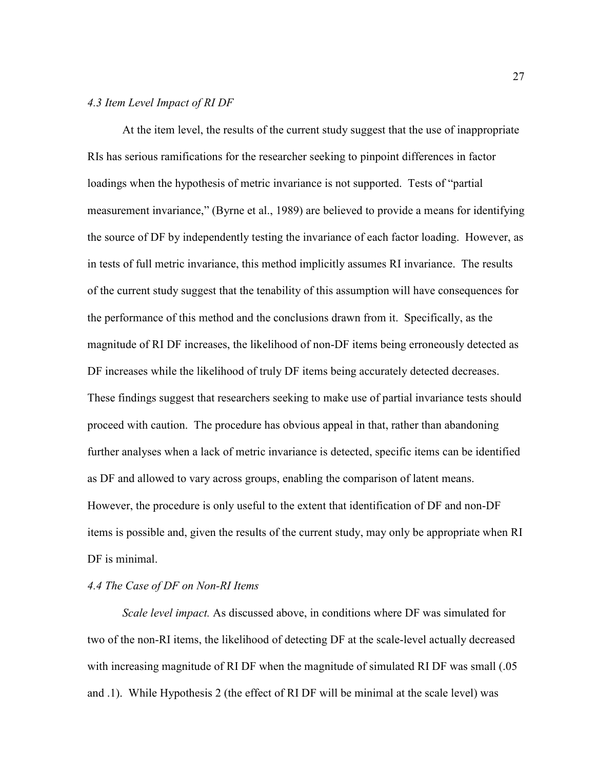#### 4.3 Item Level Impact of RI DF

At the item level, the results of the current study suggest that the use of inappropriate RIs has serious ramifications for the researcher seeking to pinpoint differences in factor loadings when the hypothesis of metric invariance is not supported. Tests of "partial measurement invariance," (Byrne et al., 1989) are believed to provide a means for identifying the source of DF by independently testing the invariance of each factor loading. However, as in tests of full metric invariance, this method implicitly assumes RI invariance. The results of the current study suggest that the tenability of this assumption will have consequences for the performance of this method and the conclusions drawn from it. Specifically, as the magnitude of RI DF increases, the likelihood of non-DF items being erroneously detected as DF increases while the likelihood of truly DF items being accurately detected decreases. These findings suggest that researchers seeking to make use of partial invariance tests should proceed with caution. The procedure has obvious appeal in that, rather than abandoning further analyses when a lack of metric invariance is detected, specific items can be identified as DF and allowed to vary across groups, enabling the comparison of latent means. However, the procedure is only useful to the extent that identification of DF and non-DF items is possible and, given the results of the current study, may only be appropriate when RI DF is minimal.

#### 4.4 The Case of DF on Non-RI Items

Scale level impact. As discussed above, in conditions where DF was simulated for two of the non-RI items, the likelihood of detecting DF at the scale-level actually decreased with increasing magnitude of RI DF when the magnitude of simulated RI DF was small (.05) and .1). While Hypothesis 2 (the effect of RI DF will be minimal at the scale level) was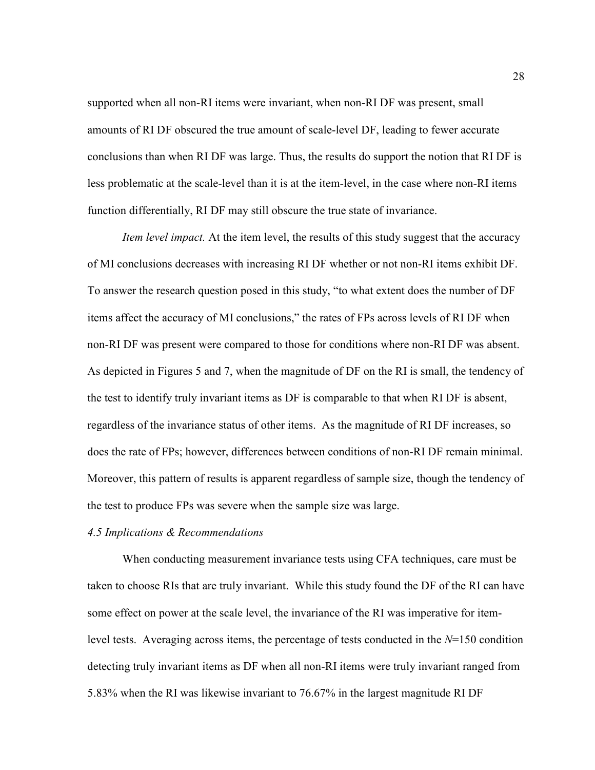supported when all non-RI items were invariant, when non-RI DF was present, small amounts of RI DF obscured the true amount of scale-level DF, leading to fewer accurate conclusions than when RI DF was large. Thus, the results do support the notion that RI DF is less problematic at the scale-level than it is at the item-level, in the case where non-RI items function differentially, RI DF may still obscure the true state of invariance.

Item level impact. At the item level, the results of this study suggest that the accuracy of MI conclusions decreases with increasing RI DF whether or not non-RI items exhibit DF. To answer the research question posed in this study, "to what extent does the number of DF items affect the accuracy of MI conclusions," the rates of FPs across levels of RI DF when non-RI DF was present were compared to those for conditions where non-RI DF was absent. As depicted in Figures 5 and 7, when the magnitude of DF on the RI is small, the tendency of the test to identify truly invariant items as DF is comparable to that when RI DF is absent, regardless of the invariance status of other items. As the magnitude of RI DF increases, so does the rate of FPs; however, differences between conditions of non-RI DF remain minimal. Moreover, this pattern of results is apparent regardless of sample size, though the tendency of the test to produce FPs was severe when the sample size was large.

#### 4.5 Implications & Recommendations

 When conducting measurement invariance tests using CFA techniques, care must be taken to choose RIs that are truly invariant. While this study found the DF of the RI can have some effect on power at the scale level, the invariance of the RI was imperative for itemlevel tests. Averaging across items, the percentage of tests conducted in the  $N=150$  condition detecting truly invariant items as DF when all non-RI items were truly invariant ranged from 5.83% when the RI was likewise invariant to 76.67% in the largest magnitude RI DF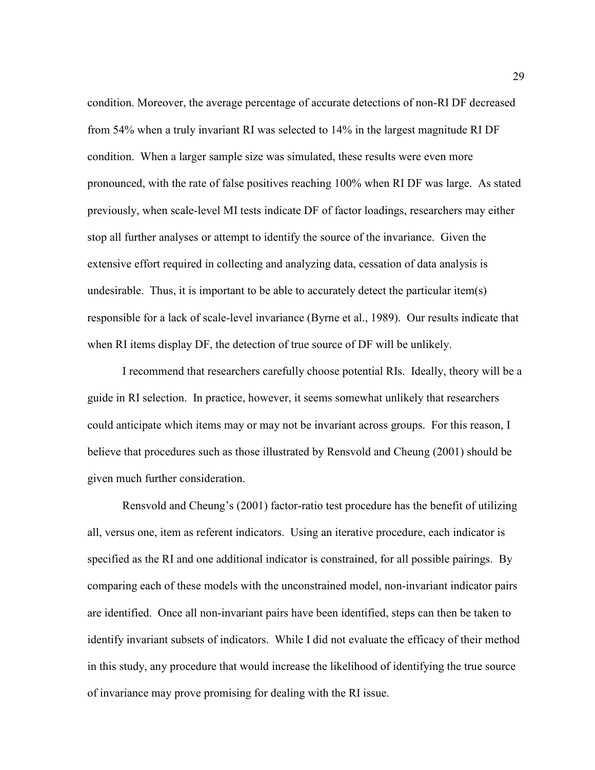condition. Moreover, the average percentage of accurate detections of non-RI DF decreased from 54% when a truly invariant RI was selected to 14% in the largest magnitude RI DF condition. When a larger sample size was simulated, these results were even more pronounced, with the rate of false positives reaching 100% when RI DF was large. As stated previously, when scale-level MI tests indicate DF of factor loadings, researchers may either stop all further analyses or attempt to identify the source of the invariance. Given the extensive effort required in collecting and analyzing data, cessation of data analysis is undesirable. Thus, it is important to be able to accurately detect the particular item(s) responsible for a lack of scale-level invariance (Byrne et al., 1989). Our results indicate that when RI items display DF, the detection of true source of DF will be unlikely.

 I recommend that researchers carefully choose potential RIs. Ideally, theory will be a guide in RI selection. In practice, however, it seems somewhat unlikely that researchers could anticipate which items may or may not be invariant across groups. For this reason, I believe that procedures such as those illustrated by Rensvold and Cheung (2001) should be given much further consideration.

Rensvold and Cheung's (2001) factor-ratio test procedure has the benefit of utilizing all, versus one, item as referent indicators. Using an iterative procedure, each indicator is specified as the RI and one additional indicator is constrained, for all possible pairings. By comparing each of these models with the unconstrained model, non-invariant indicator pairs are identified. Once all non-invariant pairs have been identified, steps can then be taken to identify invariant subsets of indicators. While I did not evaluate the efficacy of their method in this study, any procedure that would increase the likelihood of identifying the true source of invariance may prove promising for dealing with the RI issue.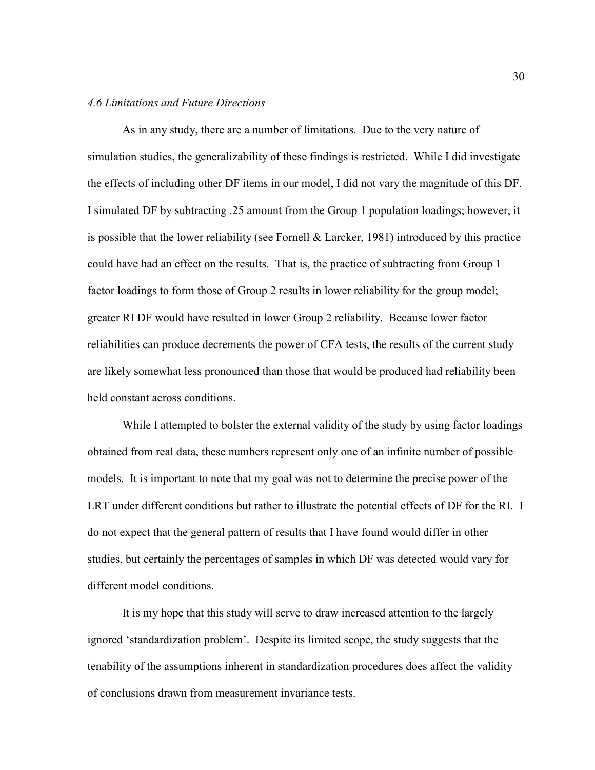#### 4.6 Limitations and Future Directions

 As in any study, there are a number of limitations. Due to the very nature of simulation studies, the generalizability of these findings is restricted. While I did investigate the effects of including other DF items in our model, I did not vary the magnitude of this DF. I simulated DF by subtracting .25 amount from the Group 1 population loadings; however, it is possible that the lower reliability (see Fornell & Larcker, 1981) introduced by this practice could have had an effect on the results. That is, the practice of subtracting from Group 1 factor loadings to form those of Group 2 results in lower reliability for the group model; greater RI DF would have resulted in lower Group 2 reliability. Because lower factor reliabilities can produce decrements the power of CFA tests, the results of the current study are likely somewhat less pronounced than those that would be produced had reliability been held constant across conditions.

While I attempted to bolster the external validity of the study by using factor loadings obtained from real data, these numbers represent only one of an infinite number of possible models. It is important to note that my goal was not to determine the precise power of the LRT under different conditions but rather to illustrate the potential effects of DF for the RI. I do not expect that the general pattern of results that I have found would differ in other studies, but certainly the percentages of samples in which DF was detected would vary for different model conditions.

 It is my hope that this study will serve to draw increased attention to the largely ignored 'standardization problem'. Despite its limited scope, the study suggests that the tenability of the assumptions inherent in standardization procedures does affect the validity of conclusions drawn from measurement invariance tests.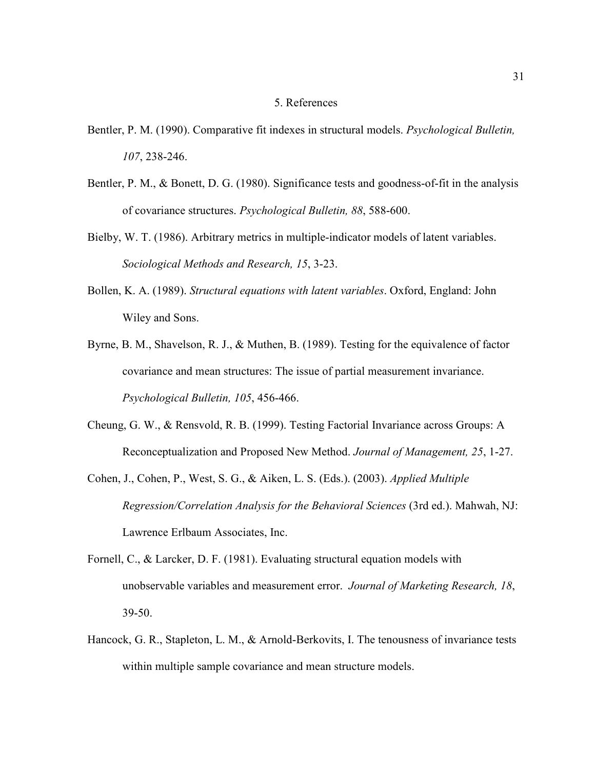## 5. References

- Bentler, P. M. (1990). Comparative fit indexes in structural models. Psychological Bulletin, 107, 238-246.
- Bentler, P. M., & Bonett, D. G. (1980). Significance tests and goodness-of-fit in the analysis of covariance structures. Psychological Bulletin, 88, 588-600.
- Bielby, W. T. (1986). Arbitrary metrics in multiple-indicator models of latent variables. Sociological Methods and Research, 15, 3-23.
- Bollen, K. A. (1989). Structural equations with latent variables. Oxford, England: John Wiley and Sons.
- Byrne, B. M., Shavelson, R. J., & Muthen, B. (1989). Testing for the equivalence of factor covariance and mean structures: The issue of partial measurement invariance. Psychological Bulletin, 105, 456-466.
- Cheung, G. W., & Rensvold, R. B. (1999). Testing Factorial Invariance across Groups: A Reconceptualization and Proposed New Method. Journal of Management, 25, 1-27.
- Cohen, J., Cohen, P., West, S. G., & Aiken, L. S. (Eds.). (2003). Applied Multiple Regression/Correlation Analysis for the Behavioral Sciences (3rd ed.). Mahwah, NJ: Lawrence Erlbaum Associates, Inc.
- Fornell, C., & Larcker, D. F. (1981). Evaluating structural equation models with unobservable variables and measurement error. Journal of Marketing Research, 18, 39-50.
- Hancock, G. R., Stapleton, L. M., & Arnold-Berkovits, I. The tenousness of invariance tests within multiple sample covariance and mean structure models.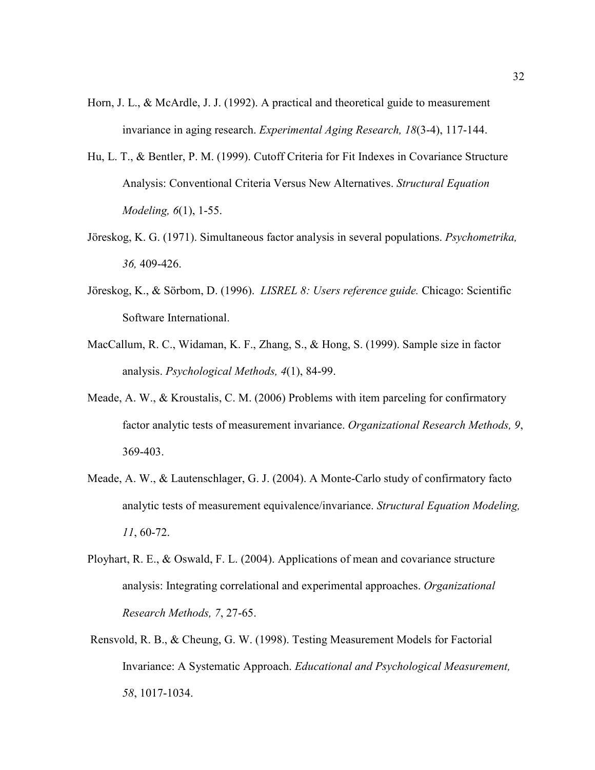- Horn, J. L., & McArdle, J. J. (1992). A practical and theoretical guide to measurement invariance in aging research. Experimental Aging Research, 18(3-4), 117-144.
- Hu, L. T., & Bentler, P. M. (1999). Cutoff Criteria for Fit Indexes in Covariance Structure Analysis: Conventional Criteria Versus New Alternatives. Structural Equation Modeling, 6(1), 1-55.
- Jöreskog, K. G. (1971). Simultaneous factor analysis in several populations. Psychometrika, 36, 409-426.
- Jöreskog, K., & Sörbom, D. (1996). LISREL 8: Users reference guide. Chicago: Scientific Software International.
- MacCallum, R. C., Widaman, K. F., Zhang, S., & Hong, S. (1999). Sample size in factor analysis. Psychological Methods, 4(1), 84-99.
- Meade, A. W., & Kroustalis, C. M. (2006) Problems with item parceling for confirmatory factor analytic tests of measurement invariance. Organizational Research Methods, 9, 369-403.
- Meade, A. W., & Lautenschlager, G. J. (2004). A Monte-Carlo study of confirmatory facto analytic tests of measurement equivalence/invariance. Structural Equation Modeling, 11, 60-72.
- Ployhart, R. E., & Oswald, F. L. (2004). Applications of mean and covariance structure analysis: Integrating correlational and experimental approaches. Organizational Research Methods, 7, 27-65.
- Rensvold, R. B., & Cheung, G. W. (1998). Testing Measurement Models for Factorial Invariance: A Systematic Approach. Educational and Psychological Measurement, 58, 1017-1034.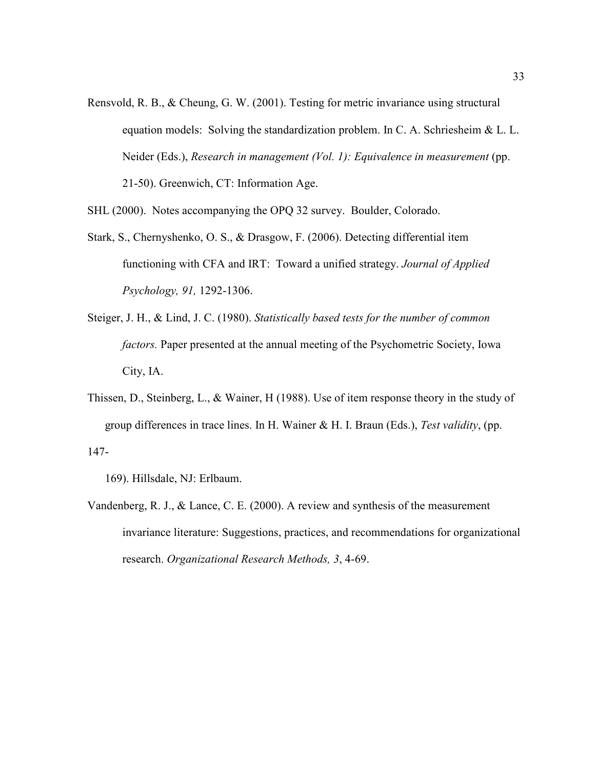Rensvold, R. B., & Cheung, G. W. (2001). Testing for metric invariance using structural equation models: Solving the standardization problem. In C. A. Schriesheim & L. L. Neider (Eds.), Research in management (Vol. 1): Equivalence in measurement (pp. 21-50). Greenwich, CT: Information Age.

SHL (2000). Notes accompanying the OPQ 32 survey. Boulder, Colorado.

- Stark, S., Chernyshenko, O. S., & Drasgow, F. (2006). Detecting differential item functioning with CFA and IRT: Toward a unified strategy. Journal of Applied Psychology, 91, 1292-1306.
- Steiger, J. H., & Lind, J. C. (1980). Statistically based tests for the number of common factors. Paper presented at the annual meeting of the Psychometric Society, Iowa City, IA.
- Thissen, D., Steinberg, L., & Wainer, H (1988). Use of item response theory in the study of group differences in trace lines. In H. Wainer & H. I. Braun (Eds.), Test validity, (pp. 147-

169). Hillsdale, NJ: Erlbaum.

Vandenberg, R. J., & Lance, C. E. (2000). A review and synthesis of the measurement invariance literature: Suggestions, practices, and recommendations for organizational research. Organizational Research Methods, 3, 4-69.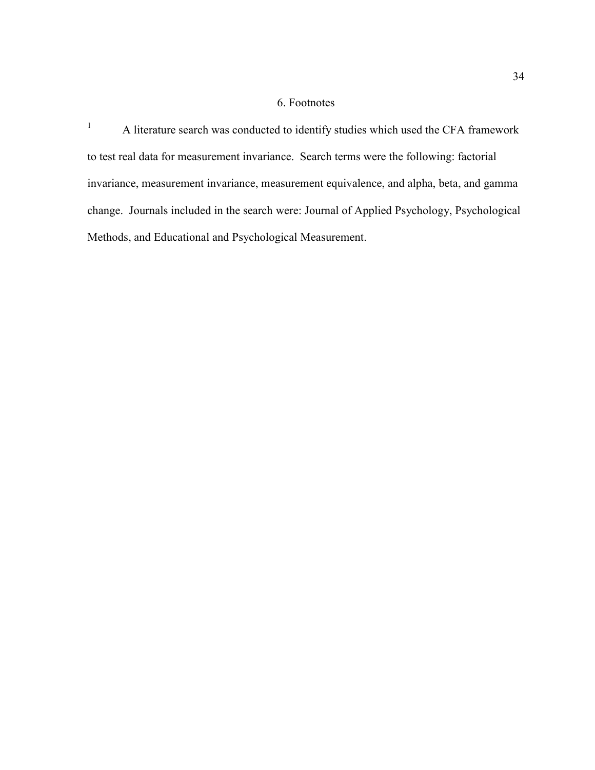# 6. Footnotes

1 A literature search was conducted to identify studies which used the CFA framework to test real data for measurement invariance. Search terms were the following: factorial invariance, measurement invariance, measurement equivalence, and alpha, beta, and gamma change. Journals included in the search were: Journal of Applied Psychology, Psychological Methods, and Educational and Psychological Measurement.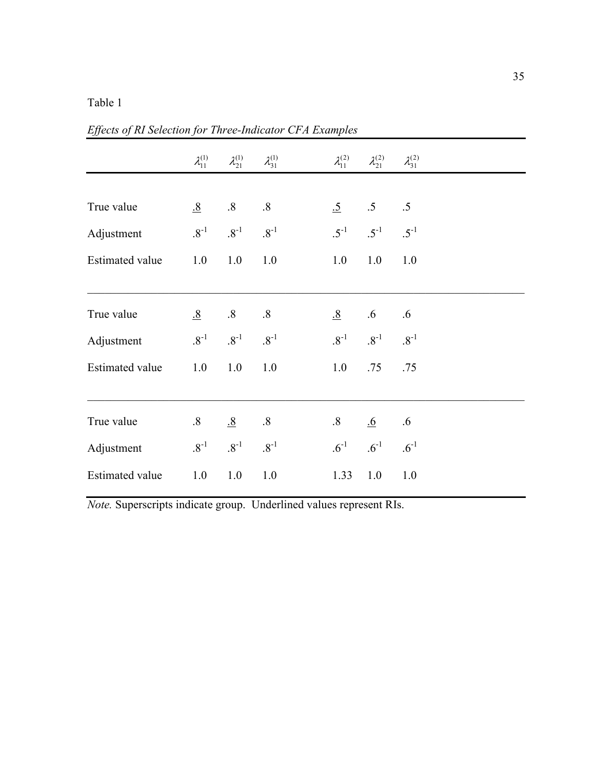|                        | $\lambda_{11}^{(1)}$ | $\lambda_{21}^{(1)}$ | $\lambda_{31}^{(1)}$ |                  | $\lambda_{11}^{(2)}$ $\lambda_{21}^{(2)}$ | $\lambda_{31}^{(2)}$ |  |
|------------------------|----------------------|----------------------|----------------------|------------------|-------------------------------------------|----------------------|--|
|                        |                      |                      |                      |                  |                                           |                      |  |
| True value             | $\underline{.8}$     | .8                   | .8                   | $\underline{.5}$ | .5                                        | .5                   |  |
| Adjustment             | $.8^{-1}$            | $.8^{-1}$            | $.8^{-1}$            |                  | $.5^{-1}$ $.5^{-1}$                       | $.5^{-1}$            |  |
| <b>Estimated value</b> | 1.0                  | 1.0                  | $1.0\,$              | 1.0              | 1.0                                       | $1.0$                |  |
|                        |                      |                      |                      |                  |                                           |                      |  |
| True value             | $\underline{.8}$     | .8                   | .8                   | $\underline{.8}$ | .6                                        | .6                   |  |
| Adjustment             | $.8^{-1}$            | $.8^{-1}$            | $.8^{-1}$            |                  | $.8^{-1}$ $.8^{-1}$ $.8^{-1}$             |                      |  |
| <b>Estimated value</b> | 1.0                  | 1.0                  | 1.0                  | 1.0              | .75                                       | .75                  |  |
|                        |                      |                      |                      |                  |                                           |                      |  |
| True value             | $\boldsymbol{.8}$    | $\underline{.8}$ .8  |                      | $\mathbf{.8}$    | $\underline{.6}$                          | $.6\phantom{0}$      |  |
| Adjustment             | $.8^{-1}$            | $.8^{-1}$            | $.8^{-1}$            | $.6^{-1}$        | $.6^{-1}$                                 | $.6^{-1}$            |  |
| <b>Estimated value</b> | 1.0                  | 1.0                  | 1.0                  | 1.33             | 1.0                                       | 1.0                  |  |

Effects of RI Selection for Three-Indicator CFA Examples

Note. Superscripts indicate group. Underlined values represent RIs.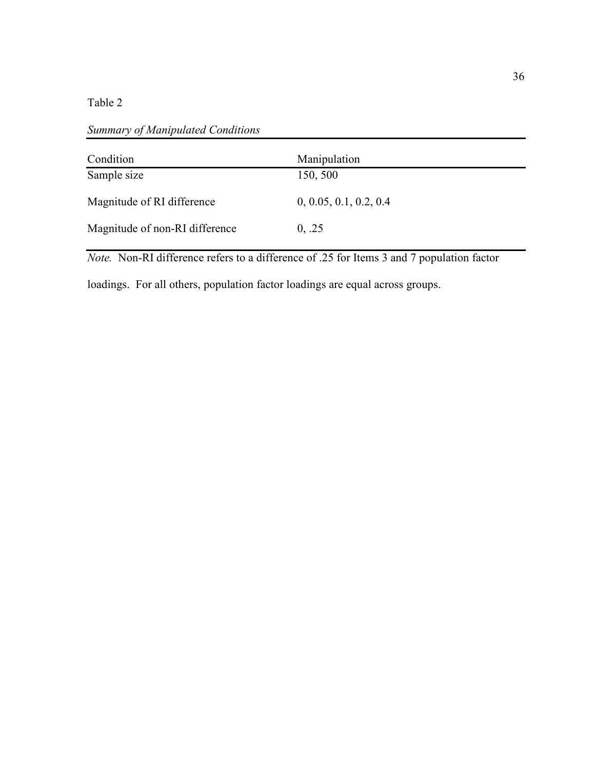| Condition                      | Manipulation           |
|--------------------------------|------------------------|
| Sample size                    | 150, 500               |
| Magnitude of RI difference     | 0, 0.05, 0.1, 0.2, 0.4 |
| Magnitude of non-RI difference | 0, .25                 |

Summary of Manipulated Conditions

Note. Non-RI difference refers to a difference of .25 for Items 3 and 7 population factor

loadings. For all others, population factor loadings are equal across groups.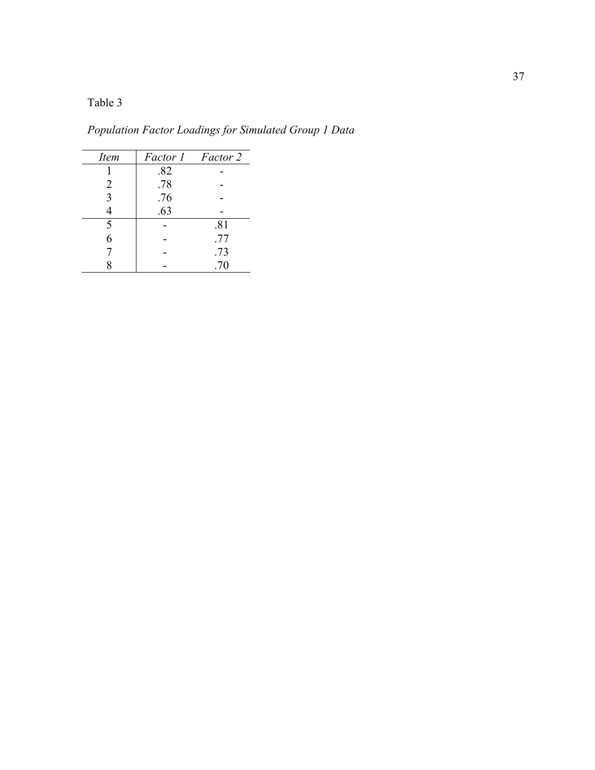Population Factor Loadings for Simulated Group 1 Data

| <i>Item</i> | Factor 1 | Factor 2 |
|-------------|----------|----------|
|             | .82      |          |
| 2           | .78      |          |
| 3           | .76      |          |
|             | .63      |          |
| 5           |          | .81      |
| 6           |          | .77      |
|             |          | .73      |
|             |          | .70      |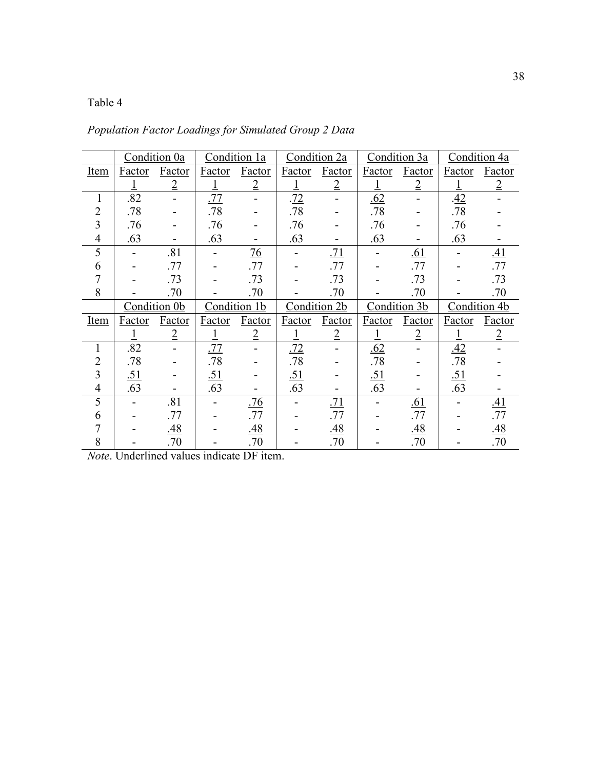Population Factor Loadings for Simulated Group 2 Data

|             |            | Condition 0a   | Condition 1a  |                | Condition 2a  |                | Condition 3a  |                | Condition 4a |                |
|-------------|------------|----------------|---------------|----------------|---------------|----------------|---------------|----------------|--------------|----------------|
| Item        | Factor     | Factor         | Factor        | Factor         | Factor        | Factor         | Factor        | Factor         | Factor       | Factor         |
|             |            | $\overline{2}$ |               | $\overline{2}$ |               | $\overline{2}$ |               | $\overline{2}$ |              | $\overline{2}$ |
| 1           | .82        |                | .77           |                | .72           |                | .62           |                | <u>.42</u>   |                |
| 2           | .78        |                | .78           |                | .78           |                | .78           |                | .78          |                |
| 3           | .76        |                | .76           |                | .76           |                | .76           |                | .76          |                |
| 4           | .63        |                | .63           |                | .63           |                | .63           |                | .63          |                |
| 5           |            | .81            |               | 76             |               | .71            |               | .61            |              | <u>.41</u>     |
| 6           |            | .77            |               | .77            |               | .77            |               | .77            |              | .77            |
|             |            | .73            |               | .73            |               | .73            |               | .73            |              | .73            |
| 8           |            | .70            |               | .70            |               | .70            |               | .70            |              | .70            |
|             |            | Condition 0b   | Condition 1b  |                | Condition 2b  |                | Condition 3b  |                | Condition 4b |                |
| <b>Item</b> | Factor     | <b>Factor</b>  | <b>Factor</b> | Factor         | <b>Factor</b> | Factor         | <b>Factor</b> | Factor         | Factor       | <b>Factor</b>  |
|             |            | $\overline{2}$ | 1             | $\overline{2}$ |               | $\overline{2}$ | 1             | $\overline{2}$ |              | $\overline{2}$ |
|             | .82        |                | .77           |                | .72           |                | <u>.62</u>    |                | .42          |                |
| 2           | .78        |                | .78           |                | .78           |                | .78           |                | .78          |                |
| 3           | <u>.51</u> |                | <u>.51</u>    |                | <u>.51</u>    |                | <u>.51</u>    |                | <u>.51</u>   |                |
| 4           | .63        |                | .63           |                | .63           |                | .63           |                | .63          |                |
| 5           |            | .81            |               | .76            |               | .71            |               | <u>.61</u>     |              | <u>.41</u>     |
| 6           |            | .77            |               | .77            |               | .77            |               | .77            |              | .77            |
|             |            | <u>.48</u>     |               | .48            |               | <u>.48</u>     |               | <u>.48</u>     |              | <u>.48</u>     |
| 8           |            | .70            |               | .70            |               | .70            |               | .70            |              | .70            |

Note. Underlined values indicate DF item.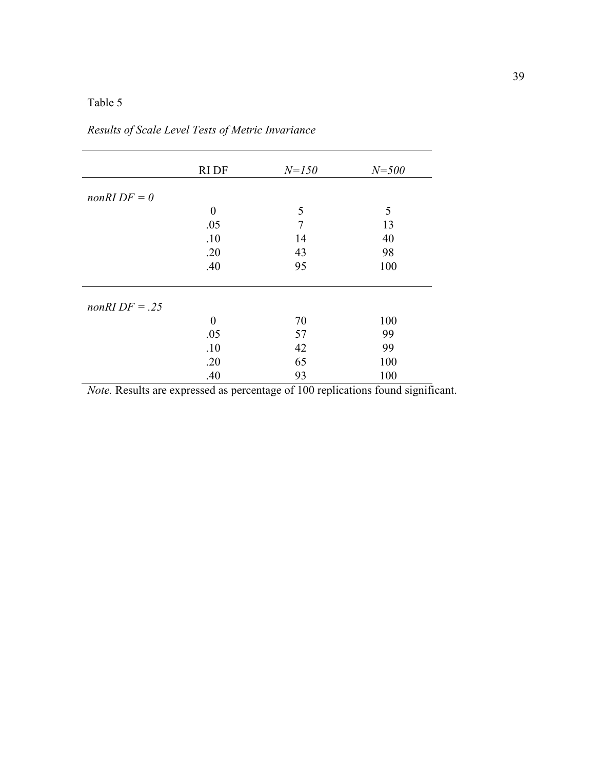|                  | <b>RIDF</b>      | $N = 150$ | $N = 500$ |
|------------------|------------------|-----------|-----------|
|                  |                  |           |           |
| nonRI $DF = 0$   |                  |           |           |
|                  | $\overline{0}$   | 5         | 5         |
|                  | .05              | 7         | 13        |
|                  | .10              | 14        | 40        |
|                  | .20              | 43        | 98        |
|                  | .40              | 95        | 100       |
|                  |                  |           |           |
|                  |                  |           |           |
| nonRI $DF = .25$ |                  |           |           |
|                  | $\boldsymbol{0}$ | 70        | 100       |
|                  | .05              | 57        | 99        |
|                  | .10              | 42        | 99        |
|                  | .20              | 65        | 100       |
|                  | .40              | 93        | 100       |
|                  |                  |           |           |

Results of Scale Level Tests of Metric Invariance

Note. Results are expressed as percentage of 100 replications found significant.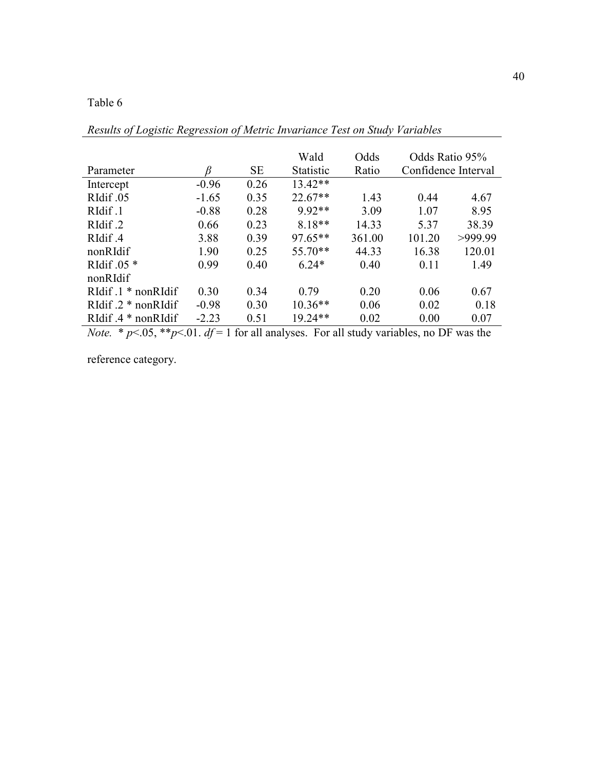|                                                                                                                                                                                                                                                                                                                                                                                              |         |           | Wald             | Odds   | Odds Ratio 95%      |         |
|----------------------------------------------------------------------------------------------------------------------------------------------------------------------------------------------------------------------------------------------------------------------------------------------------------------------------------------------------------------------------------------------|---------|-----------|------------------|--------|---------------------|---------|
| Parameter                                                                                                                                                                                                                                                                                                                                                                                    |         | <b>SE</b> | <b>Statistic</b> | Ratio  | Confidence Interval |         |
| Intercept                                                                                                                                                                                                                                                                                                                                                                                    | $-0.96$ | 0.26      | $13.42**$        |        |                     |         |
| RIdif .05                                                                                                                                                                                                                                                                                                                                                                                    | $-1.65$ | 0.35      | $22.67**$        | 1.43   | 0.44                | 4.67    |
| RIdif .1                                                                                                                                                                                                                                                                                                                                                                                     | $-0.88$ | 0.28      | 9.92**           | 3.09   | 1.07                | 8.95    |
| RIdif .2                                                                                                                                                                                                                                                                                                                                                                                     | 0.66    | 0.23      | $8.18**$         | 14.33  | 5.37                | 38.39   |
| RIdif .4                                                                                                                                                                                                                                                                                                                                                                                     | 3.88    | 0.39      | $97.65**$        | 361.00 | 101.20              | >999.99 |
| nonRIdif                                                                                                                                                                                                                                                                                                                                                                                     | 1.90    | 0.25      | $55.70**$        | 44.33  | 16.38               | 120.01  |
| RIdif $.05*$                                                                                                                                                                                                                                                                                                                                                                                 | 0.99    | 0.40      | $6.24*$          | 0.40   | 0.11                | 1.49    |
| nonRIdif                                                                                                                                                                                                                                                                                                                                                                                     |         |           |                  |        |                     |         |
| RIdif $.1 * nonRIdif$                                                                                                                                                                                                                                                                                                                                                                        | 0.30    | 0.34      | 0.79             | 0.20   | 0.06                | 0.67    |
| RIdif $.2 * nonRIdif$                                                                                                                                                                                                                                                                                                                                                                        | $-0.98$ | 0.30      | $10.36**$        | 0.06   | 0.02                | 0.18    |
| RIdif $4 * nonRIdif$                                                                                                                                                                                                                                                                                                                                                                         | $-2.23$ | 0.51      | $19.24**$        | 0.02   | 0.00                | 0.07    |
| $\mathcal{M}_{\mathcal{A}}$ , $\mathcal{A}$ , $\mathcal{A}$ , $\mathcal{A}$ , $\mathcal{A}$ , $\mathcal{M}_{\mathcal{A}}$ , $\mathcal{M}_{\mathcal{A}}$ , $\mathcal{M}_{\mathcal{A}}$ , $\mathcal{M}_{\mathcal{A}}$ , $\mathcal{M}_{\mathcal{A}}$ , $\mathcal{M}_{\mathcal{A}}$ , $\mathcal{M}_{\mathcal{A}}$ , $\mathcal{M}_{\mathcal{A}}$ , $\mathcal{M}_{\mathcal{A}}$ , $\mathcal{M}_{\$ |         |           |                  |        |                     |         |

Results of Logistic Regression of Metric Invariance Test on Study Variables

*Note.* \*  $p$ <.05, \*\* $p$ <.01.  $df = 1$  for all analyses. For all study variables, no DF was the

reference category.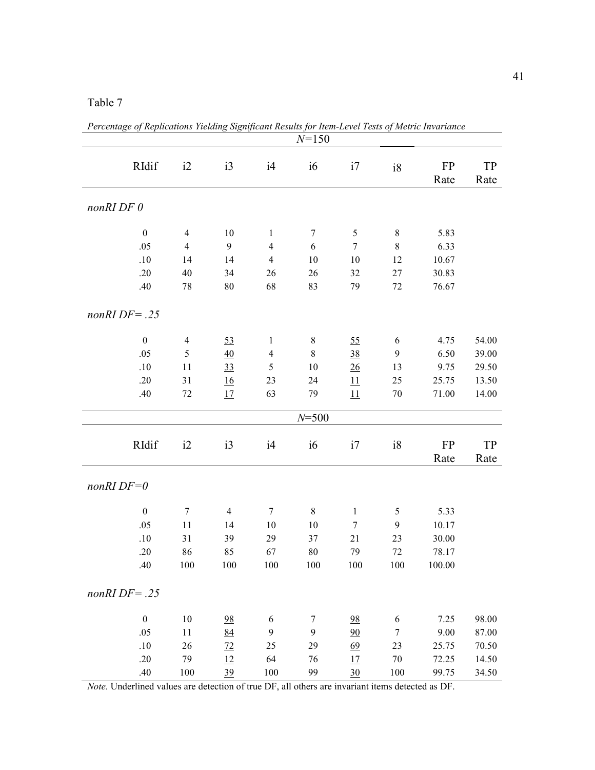Table 7

|                    |                  |                |                |                | $N = 150$      |                  |                  | Percentage of Replications Yielding Significant Results for Item-Level Tests of Metric Invariance |           |
|--------------------|------------------|----------------|----------------|----------------|----------------|------------------|------------------|---------------------------------------------------------------------------------------------------|-----------|
|                    |                  |                |                |                |                |                  |                  |                                                                                                   |           |
|                    | RIdif            | i2             | i3             | i4             | i6             | i7               | i8               | <b>FP</b>                                                                                         | <b>TP</b> |
|                    |                  |                |                |                |                |                  |                  | Rate                                                                                              | Rate      |
| nonRI DF 0         |                  |                |                |                |                |                  |                  |                                                                                                   |           |
|                    |                  |                |                |                |                |                  |                  |                                                                                                   |           |
|                    | $\boldsymbol{0}$ | $\overline{4}$ | 10             | $\mathbf{1}$   | $\tau$         | 5                | $\,$ $\,$        | 5.83                                                                                              |           |
|                    | .05              | $\overline{4}$ | 9              | $\overline{4}$ | $\sqrt{6}$     | $\boldsymbol{7}$ | $\,$ $\,$        | 6.33                                                                                              |           |
|                    | .10              | 14             | 14             | $\overline{4}$ | 10             | 10               | 12               | 10.67                                                                                             |           |
|                    | .20              | 40             | 34             | 26             | 26             | 32               | 27               | 30.83                                                                                             |           |
|                    | .40              | 78             | $80\,$         | 68             | 83             | 79               | 72               | 76.67                                                                                             |           |
| $nonRIDF = .25$    |                  |                |                |                |                |                  |                  |                                                                                                   |           |
|                    | $\boldsymbol{0}$ | $\overline{4}$ | 53             | $\mathbf{1}$   | $\,8\,$        | $\frac{55}{2}$   | 6                | 4.75                                                                                              | 54.00     |
|                    | .05              | 5              | 40             | $\overline{4}$ | $\,$ 8 $\,$    | <u>38</u>        | 9                | 6.50                                                                                              | 39.00     |
|                    | .10              | 11             | 33             | $\mathfrak s$  | 10             | 26               | 13               | 9.75                                                                                              | 29.50     |
|                    | .20              | 31             | 16             | 23             | 24             | 11               | 25               | 25.75                                                                                             | 13.50     |
|                    | .40              | 72             | 17             | 63             | 79             | 11               | 70               | 71.00                                                                                             | 14.00     |
|                    |                  |                |                |                | $N = 500$      |                  |                  |                                                                                                   |           |
|                    |                  |                |                |                |                |                  |                  |                                                                                                   |           |
|                    | RIdif            | i2             | i3             | i4             | i <sub>6</sub> | i7               | i8               | FP                                                                                                | <b>TP</b> |
|                    |                  |                |                |                |                |                  |                  | Rate                                                                                              | Rate      |
| $nonRI$ $DF=0$     |                  |                |                |                |                |                  |                  |                                                                                                   |           |
|                    |                  |                |                |                |                |                  |                  |                                                                                                   |           |
|                    | $\boldsymbol{0}$ | $\tau$         | $\overline{4}$ | $\tau$         | $\,$ 8 $\,$    | $\mathbf{1}$     | 5                | 5.33                                                                                              |           |
|                    | .05              | 11             | 14             | 10             | 10             | $\boldsymbol{7}$ | 9                | 10.17                                                                                             |           |
|                    | .10              | 31             | 39             | 29             | 37             | 21               | 23               | 30.00                                                                                             |           |
|                    | .20              | 86             | 85             | 67             | 80             | 79               | 72               | 78.17                                                                                             |           |
|                    | .40              | 100            | 100            | 100            | 100            | $100\,$          | 100              | 100.00                                                                                            |           |
| $nonRI$ $DF = .25$ |                  |                |                |                |                |                  |                  |                                                                                                   |           |
|                    |                  |                |                |                |                |                  |                  |                                                                                                   |           |
|                    | $\boldsymbol{0}$ | $10\,$         | <u>98</u>      | 6              | 7              | <u>98</u>        | 6                | 7.25                                                                                              | 98.00     |
|                    | .05              | 11             | 84             | 9              | $\mathbf{9}$   | 90               | $\boldsymbol{7}$ | 9.00                                                                                              | 87.00     |
|                    | .10              | 26             | 72             | 25             | 29             | 69               | 23               | 25.75                                                                                             | 70.50     |
|                    | .20              | 79             | 12             | 64             | 76             | 17               | 70               | 72.25                                                                                             | 14.50     |
|                    | .40              | 100            | 39             | 100            | 99             | 30               | 100              | 99.75                                                                                             | 34.50     |

Percentage of Replications Yielding Significant Results for Item-Level Tests of Metric Invariance

Note. Underlined values are detection of true DF, all others are invariant items detected as DF.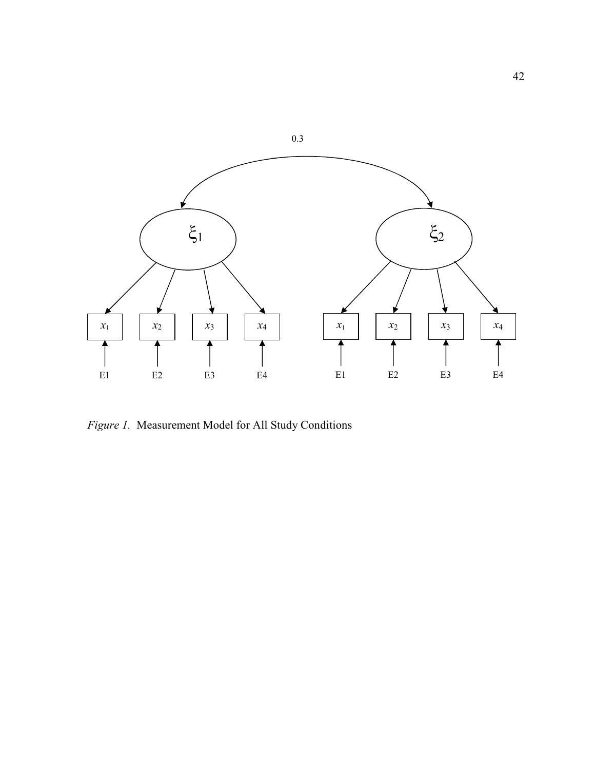

Figure 1. Measurement Model for All Study Conditions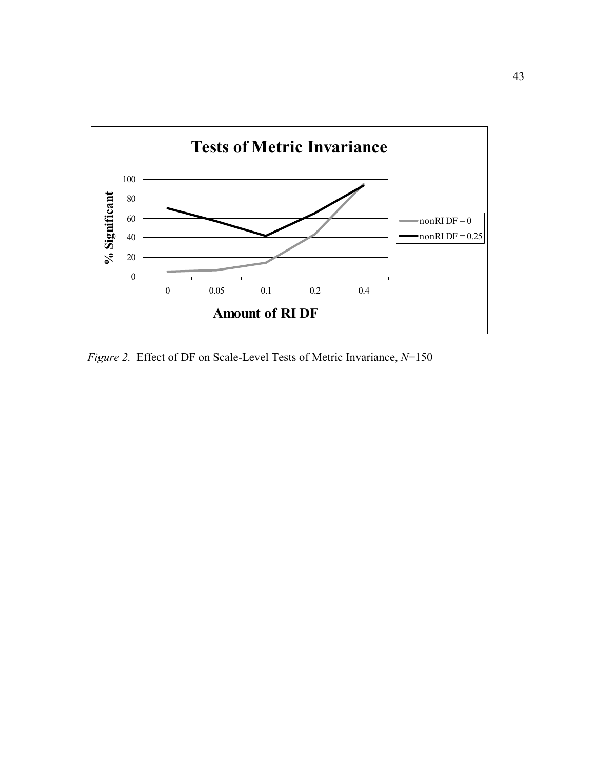

Figure 2. Effect of DF on Scale-Level Tests of Metric Invariance,  $N=150$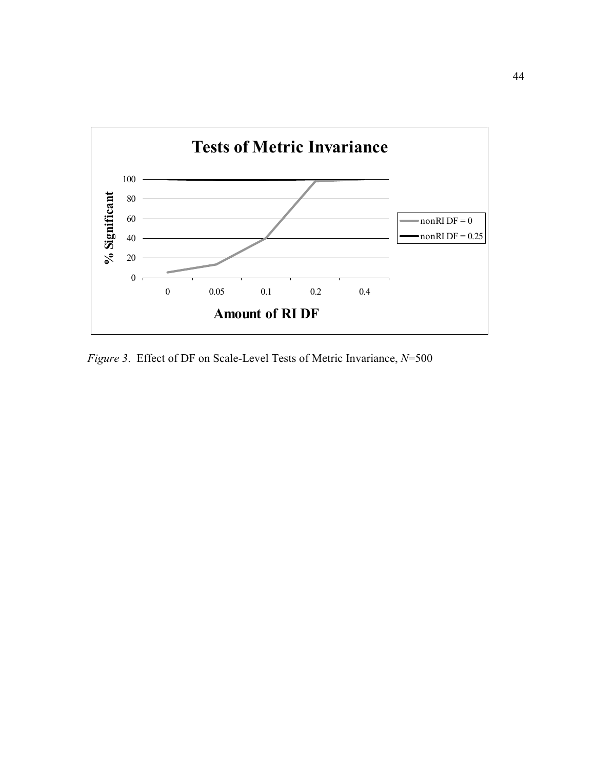

Figure 3. Effect of DF on Scale-Level Tests of Metric Invariance,  $N=500$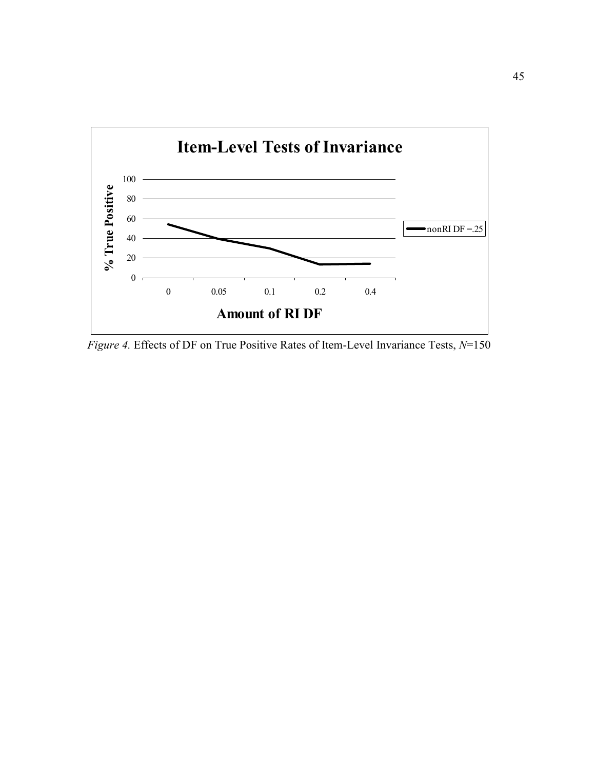

Figure 4. Effects of DF on True Positive Rates of Item-Level Invariance Tests, N=150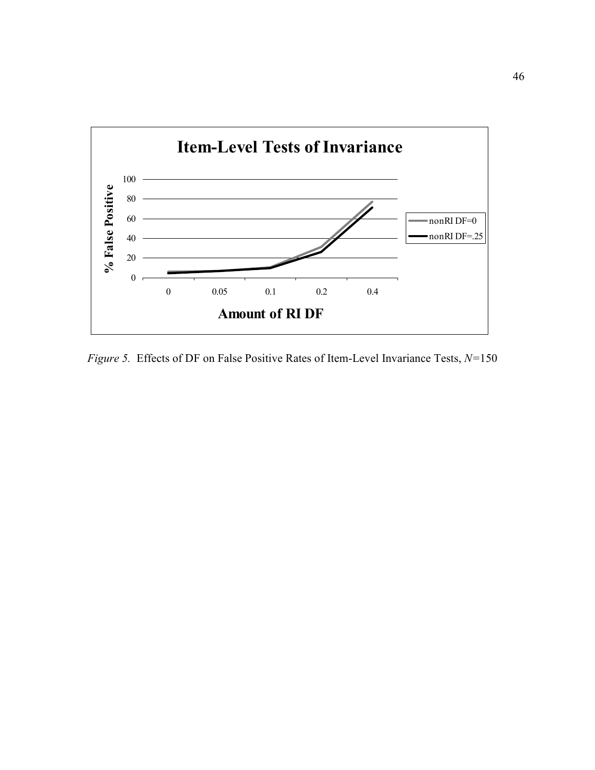

Figure 5. Effects of DF on False Positive Rates of Item-Level Invariance Tests,  $N=150$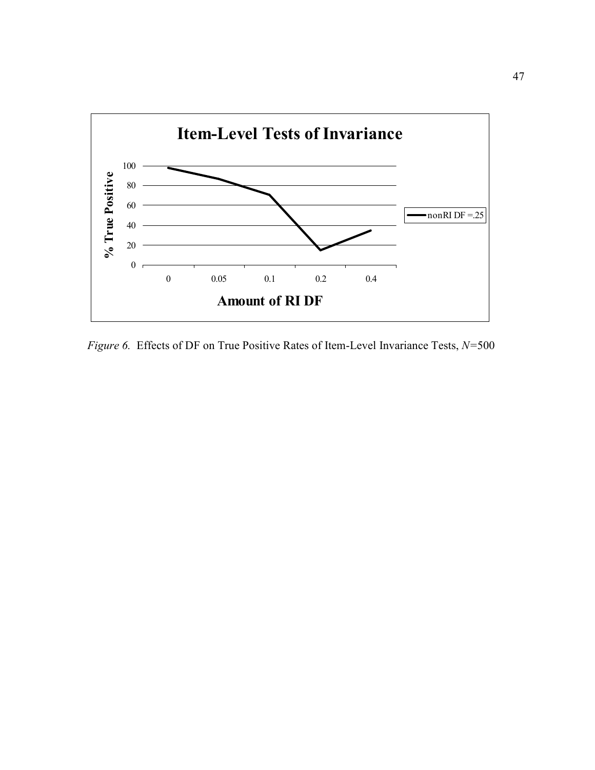

Figure 6. Effects of DF on True Positive Rates of Item-Level Invariance Tests,  $N=500$